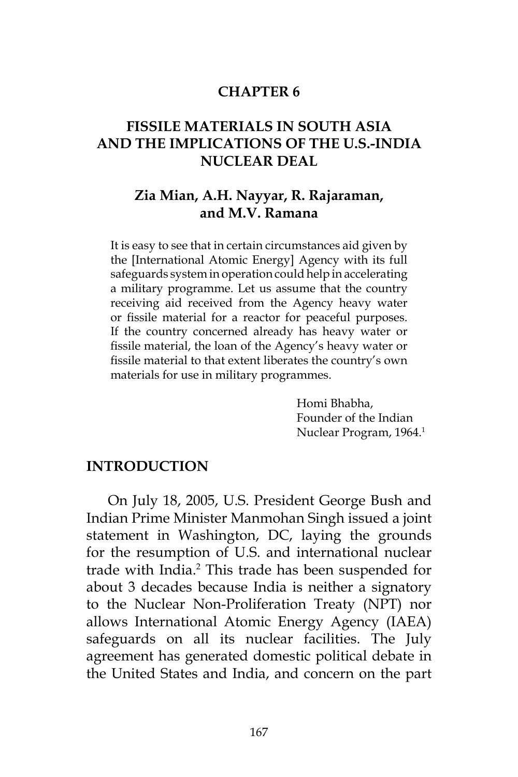#### **CHAPTER 6**

### **FISSILE MATERIALS IN SOUTH ASIA AND THE IMPLICATIONS OF THE U.S.-INDIA NUCLEAR DEAL**

#### **Zia Mian, A.H. Nayyar, R. Rajaraman, and M.V. Ramana**

It is easy to see that in certain circumstances aid given by the [International Atomic Energy] Agency with its full safeguards system in operation could help in accelerating a military programme. Let us assume that the country receiving aid received from the Agency heavy water or fissile material for a reactor for peaceful purposes. If the country concerned already has heavy water or fissile material, the loan of the Agency's heavy water or fissile material to that extent liberates the country's own materials for use in military programmes.

> Homi Bhabha, Founder of the Indian Nuclear Program, 1964.1

#### **INTRODUCTION**

On July 18, 2005, U.S. President George Bush and Indian Prime Minister Manmohan Singh issued a joint statement in Washington, DC, laying the grounds for the resumption of U.S. and international nuclear trade with India.<sup>2</sup> This trade has been suspended for about 3 decades because India is neither a signatory to the Nuclear Non-Proliferation Treaty (NPT) nor allows International Atomic Energy Agency (IAEA) safeguards on all its nuclear facilities. The July agreement has generated domestic political debate in the United States and India, and concern on the part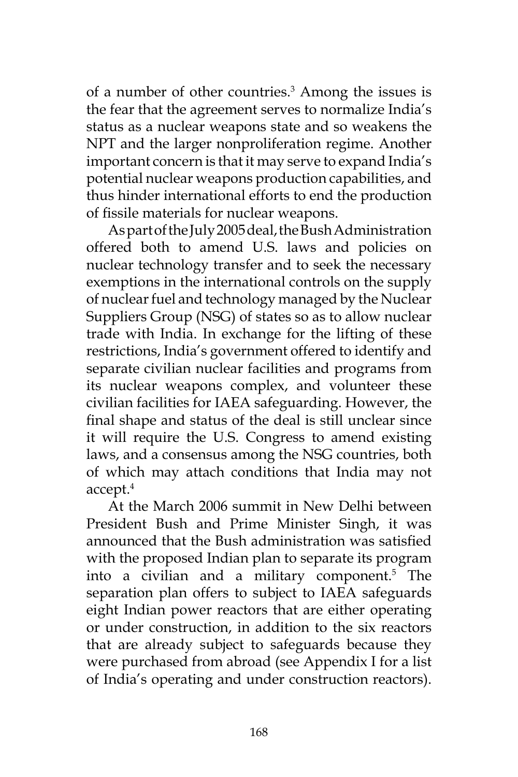of a number of other countries.3 Among the issues is the fear that the agreement serves to normalize India's status as a nuclear weapons state and so weakens the NPT and the larger nonproliferation regime. Another important concern is that it may serve to expand India's potential nuclear weapons production capabilities, and thus hinder international efforts to end the production of fissile materials for nuclear weapons.

As part of the July 2005 deal, the Bush Administration offered both to amend U.S. laws and policies on nuclear technology transfer and to seek the necessary exemptions in the international controls on the supply of nuclear fuel and technology managed by the Nuclear Suppliers Group (NSG) of states so as to allow nuclear trade with India. In exchange for the lifting of these restrictions, India's government offered to identify and separate civilian nuclear facilities and programs from its nuclear weapons complex, and volunteer these civilian facilities for IAEA safeguarding. However, the final shape and status of the deal is still unclear since it will require the U.S. Congress to amend existing laws, and a consensus among the NSG countries, both of which may attach conditions that India may not accept. $^4$ 

At the March 2006 summit in New Delhi between President Bush and Prime Minister Singh, it was announced that the Bush administration was satisfied with the proposed Indian plan to separate its program into a civilian and a military component.5 The separation plan offers to subject to IAEA safeguards eight Indian power reactors that are either operating or under construction, in addition to the six reactors that are already subject to safeguards because they were purchased from abroad (see Appendix I for a list of India's operating and under construction reactors).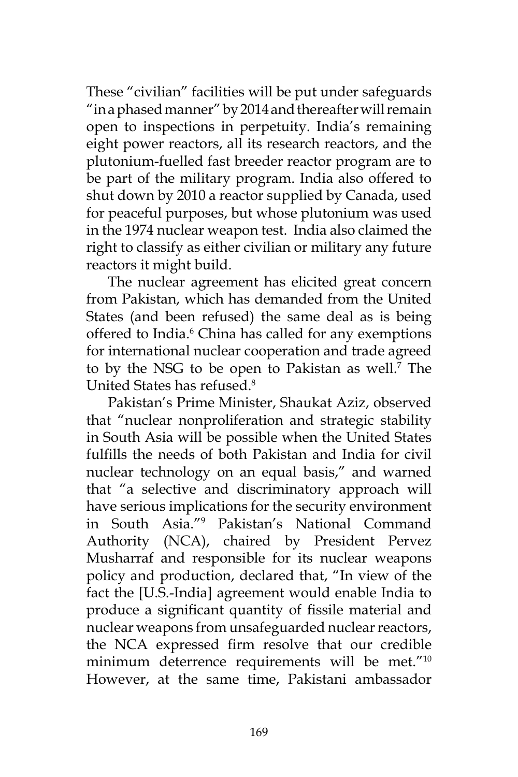These "civilian" facilities will be put under safeguards "in a phased manner" by 2014 and thereafter will remain open to inspections in perpetuity. India's remaining eight power reactors, all its research reactors, and the plutonium-fuelled fast breeder reactor program are to be part of the military program. India also offered to shut down by 2010 a reactor supplied by Canada, used for peaceful purposes, but whose plutonium was used in the 1974 nuclear weapon test. India also claimed the right to classify as either civilian or military any future reactors it might build.

The nuclear agreement has elicited great concern from Pakistan, which has demanded from the United States (and been refused) the same deal as is being offered to India.<sup>6</sup> China has called for any exemptions for international nuclear cooperation and trade agreed to by the NSG to be open to Pakistan as well.<sup>7</sup> The United States has refused.8

Pakistan's Prime Minister, Shaukat Aziz, observed that "nuclear nonproliferation and strategic stability in South Asia will be possible when the United States fulfills the needs of both Pakistan and India for civil nuclear technology on an equal basis," and warned that "a selective and discriminatory approach will have serious implications for the security environment in South Asia."9 Pakistan's National Command Authority (NCA), chaired by President Pervez Musharraf and responsible for its nuclear weapons policy and production, declared that, "In view of the fact the [U.S.-India] agreement would enable India to produce a significant quantity of fissile material and nuclear weapons from unsafeguarded nuclear reactors, the NCA expressed firm resolve that our credible minimum deterrence requirements will be met."<sup>10</sup> However, at the same time, Pakistani ambassador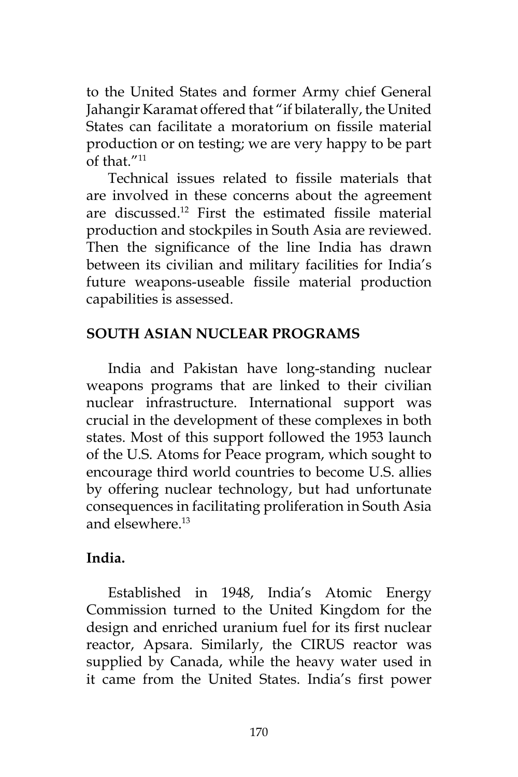to the United States and former Army chief General Jahangir Karamat offered that "if bilaterally, the United States can facilitate a moratorium on fissile material production or on testing; we are very happy to be part of that  $''^{11}$ 

Technical issues related to fissile materials that are involved in these concerns about the agreement are discussed.12 First the estimated fissile material production and stockpiles in South Asia are reviewed. Then the significance of the line India has drawn between its civilian and military facilities for India's future weapons-useable fissile material production capabilities is assessed.

### **SOUTH ASIAN NUCLEAR PROGRAMS**

India and Pakistan have long-standing nuclear weapons programs that are linked to their civilian nuclear infrastructure. International support was crucial in the development of these complexes in both states. Most of this support followed the 1953 launch of the U.S. Atoms for Peace program, which sought to encourage third world countries to become U.S. allies by offering nuclear technology, but had unfortunate consequences in facilitating proliferation in South Asia and elsewhere.13

### **India.**

Established in 1948, India's Atomic Energy Commission turned to the United Kingdom for the design and enriched uranium fuel for its first nuclear reactor, Apsara. Similarly, the CIRUS reactor was supplied by Canada, while the heavy water used in it came from the United States. India's first power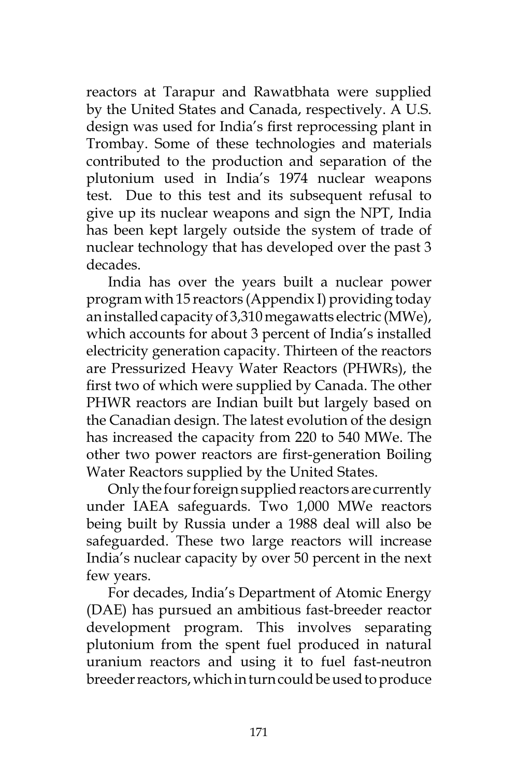reactors at Tarapur and Rawatbhata were supplied by the United States and Canada, respectively. A U.S. design was used for India's first reprocessing plant in Trombay. Some of these technologies and materials contributed to the production and separation of the plutonium used in India's 1974 nuclear weapons test. Due to this test and its subsequent refusal to give up its nuclear weapons and sign the NPT, India has been kept largely outside the system of trade of nuclear technology that has developed over the past 3 decades.

India has over the years built a nuclear power program with 15 reactors (Appendix I) providing today an installed capacity of 3,310 megawatts electric (MWe), which accounts for about 3 percent of India's installed electricity generation capacity. Thirteen of the reactors are Pressurized Heavy Water Reactors (PHWRs), the first two of which were supplied by Canada. The other PHWR reactors are Indian built but largely based on the Canadian design. The latest evolution of the design has increased the capacity from 220 to 540 MWe. The other two power reactors are first-generation Boiling Water Reactors supplied by the United States.

Only the four foreign supplied reactors are currently under IAEA safeguards. Two 1,000 MWe reactors being built by Russia under a 1988 deal will also be safeguarded. These two large reactors will increase India's nuclear capacity by over 50 percent in the next few years.

For decades, India's Department of Atomic Energy (DAE) has pursued an ambitious fast-breeder reactor development program. This involves separating plutonium from the spent fuel produced in natural uranium reactors and using it to fuel fast-neutron breeder reactors, which in turn could be used to produce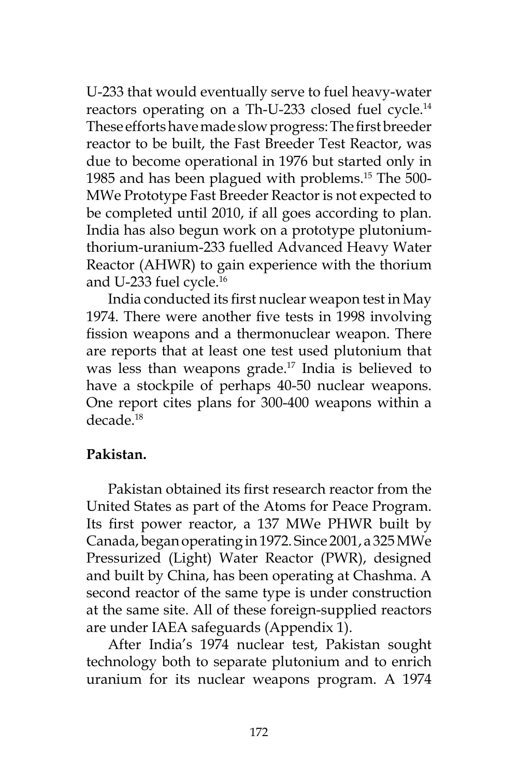U-233 that would eventually serve to fuel heavy-water reactors operating on a Th-U-233 closed fuel cycle.<sup>14</sup> These efforts have made slow progress: The first breeder reactor to be built, the Fast Breeder Test Reactor, was due to become operational in 1976 but started only in 1985 and has been plagued with problems.15 The 500- MWe Prototype Fast Breeder Reactor is not expected to be completed until 2010, if all goes according to plan. India has also begun work on a prototype plutoniumthorium-uranium-233 fuelled Advanced Heavy Water Reactor (AHWR) to gain experience with the thorium and U-233 fuel cycle.<sup>16</sup>

India conducted its first nuclear weapon test in May 1974. There were another five tests in 1998 involving fission weapons and a thermonuclear weapon. There are reports that at least one test used plutonium that was less than weapons grade.<sup>17</sup> India is believed to have a stockpile of perhaps 40-50 nuclear weapons. One report cites plans for 300-400 weapons within a decade.18

#### **Pakistan.**

Pakistan obtained its first research reactor from the United States as part of the Atoms for Peace Program. Its first power reactor, a 137 MWe PHWR built by Canada, began operating in 1972. Since 2001, a 325 MWe Pressurized (Light) Water Reactor (PWR), designed and built by China, has been operating at Chashma. A second reactor of the same type is under construction at the same site. All of these foreign-supplied reactors are under IAEA safeguards (Appendix 1).

After India's 1974 nuclear test, Pakistan sought technology both to separate plutonium and to enrich uranium for its nuclear weapons program. A 1974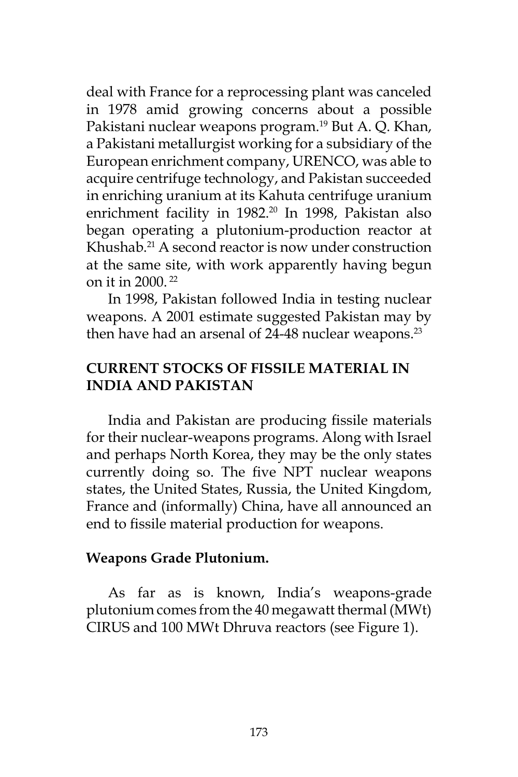deal with France for a reprocessing plant was canceled in 1978 amid growing concerns about a possible Pakistani nuclear weapons program.<sup>19</sup> But A. Q. Khan, a Pakistani metallurgist working for a subsidiary of the European enrichment company, URENCO, was able to acquire centrifuge technology, and Pakistan succeeded in enriching uranium at its Kahuta centrifuge uranium enrichment facility in 1982.<sup>20</sup> In 1998, Pakistan also began operating a plutonium-production reactor at Khushab.21 A second reactor is now under construction at the same site, with work apparently having begun on it in 2000. 22

In 1998, Pakistan followed India in testing nuclear weapons. A 2001 estimate suggested Pakistan may by then have had an arsenal of  $24-48$  nuclear weapons.<sup>23</sup>

### **CURRENT STOCKS OF FISSILE MATERIAL IN INDIA AND PAKISTAN**

India and Pakistan are producing fissile materials for their nuclear-weapons programs. Along with Israel and perhaps North Korea, they may be the only states currently doing so. The five NPT nuclear weapons states, the United States, Russia, the United Kingdom, France and (informally) China, have all announced an end to fissile material production for weapons.

#### **Weapons Grade Plutonium.**

As far as is known, India's weapons-grade plutonium comes from the 40 megawatt thermal (MWt) CIRUS and 100 MWt Dhruva reactors (see Figure 1).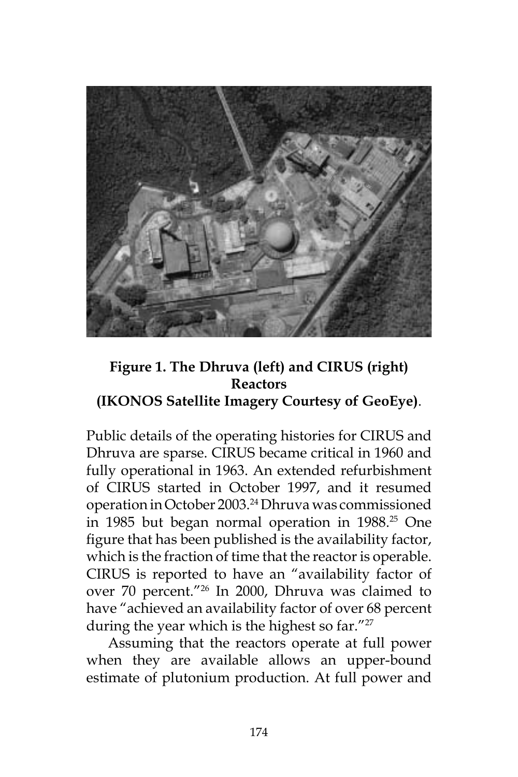

## **Figure 1. The Dhruva (left) and CIRUS (right) Reactors (IKONOS Satellite Imagery Courtesy of GeoEye)**.

Public details of the operating histories for CIRUS and Dhruva are sparse. CIRUS became critical in 1960 and fully operational in 1963. An extended refurbishment of CIRUS started in October 1997, and it resumed operation in October 2003.24 Dhruva was commissioned in 1985 but began normal operation in 1988.<sup>25</sup> One figure that has been published is the availability factor, which is the fraction of time that the reactor is operable. CIRUS is reported to have an "availability factor of over 70 percent."26 In 2000, Dhruva was claimed to have "achieved an availability factor of over 68 percent during the year which is the highest so far."<sup>27</sup>

Assuming that the reactors operate at full power when they are available allows an upper-bound estimate of plutonium production. At full power and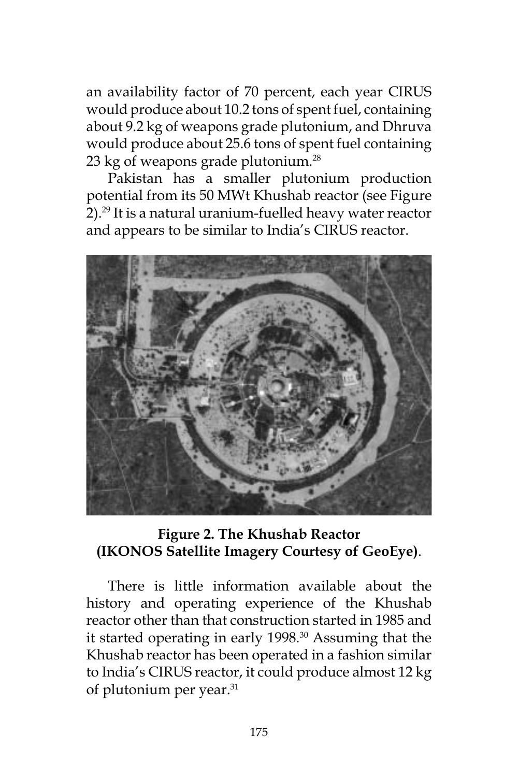an availability factor of 70 percent, each year CIRUS would produce about 10.2 tons of spent fuel, containing about 9.2 kg of weapons grade plutonium, and Dhruva would produce about 25.6 tons of spent fuel containing 23 kg of weapons grade plutonium.<sup>28</sup>

Pakistan has a smaller plutonium production potential from its 50 MWt Khushab reactor (see Figure 2).29 It is a natural uranium-fuelled heavy water reactor and appears to be similar to India's CIRUS reactor.



### **Figure 2. The Khushab Reactor (IKONOS Satellite Imagery Courtesy of GeoEye)**.

There is little information available about the history and operating experience of the Khushab reactor other than that construction started in 1985 and it started operating in early 1998.<sup>30</sup> Assuming that the Khushab reactor has been operated in a fashion similar to India's CIRUS reactor, it could produce almost 12 kg of plutonium per year.31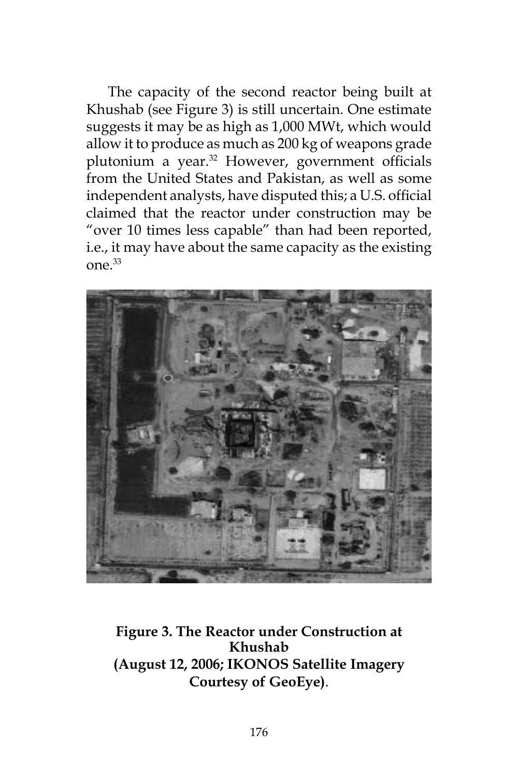The capacity of the second reactor being built at Khushab (see Figure 3) is still uncertain. One estimate suggests it may be as high as 1,000 MWt, which would allow it to produce as much as 200 kg of weapons grade plutonium a year.<sup>32</sup> However, government officials from the United States and Pakistan, as well as some independent analysts, have disputed this; a U.S. official claimed that the reactor under construction may be "over 10 times less capable" than had been reported, i.e., it may have about the same capacity as the existing one.33



**Figure 3. The Reactor under Construction at Khushab (August 12, 2006; IKONOS Satellite Imagery Courtesy of GeoEye)**.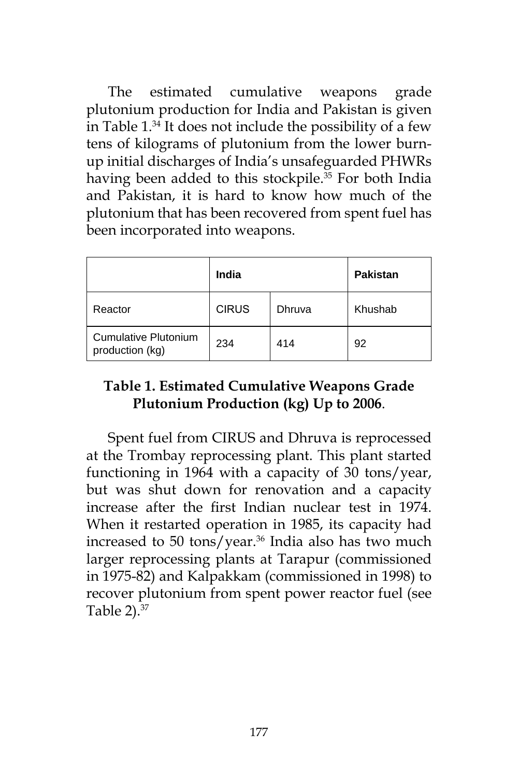The estimated cumulative weapons grade plutonium production for India and Pakistan is given in Table 1.34 It does not include the possibility of a few tens of kilograms of plutonium from the lower burnup initial discharges of India's unsafeguarded PHWRs having been added to this stockpile.<sup>35</sup> For both India and Pakistan, it is hard to know how much of the plutonium that has been recovered from spent fuel has been incorporated into weapons.

|                                         | India        | <b>Pakistan</b> |         |
|-----------------------------------------|--------------|-----------------|---------|
| Reactor                                 | <b>CIRUS</b> | Dhruva          | Khushab |
| Cumulative Plutonium<br>production (kg) | 234          | 414             | 92      |

### **Table 1. Estimated Cumulative Weapons Grade Plutonium Production (kg) Up to 2006**.

Spent fuel from CIRUS and Dhruva is reprocessed at the Trombay reprocessing plant. This plant started functioning in 1964 with a capacity of 30 tons/year, but was shut down for renovation and a capacity increase after the first Indian nuclear test in 1974. When it restarted operation in 1985, its capacity had increased to 50 tons/year.<sup>36</sup> India also has two much larger reprocessing plants at Tarapur (commissioned in 1975-82) and Kalpakkam (commissioned in 1998) to recover plutonium from spent power reactor fuel (see Table  $2$ ). $37$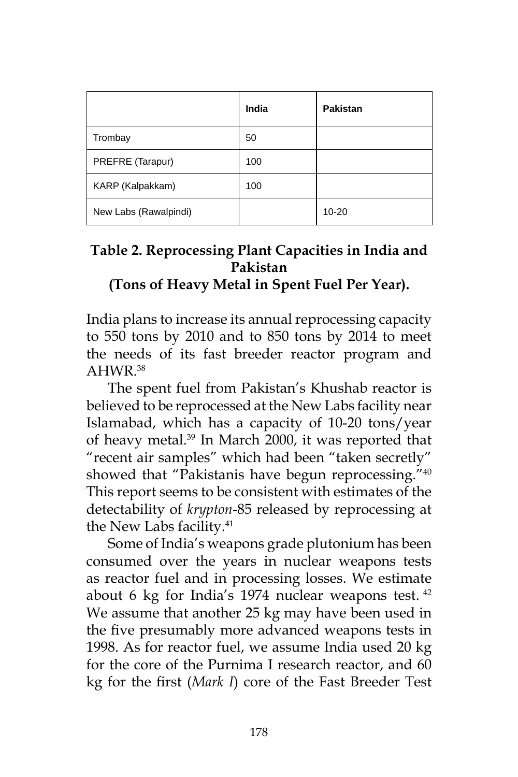|                       | India | Pakistan  |
|-----------------------|-------|-----------|
| Trombay               | 50    |           |
| PREFRE (Tarapur)      | 100   |           |
| KARP (Kalpakkam)      | 100   |           |
| New Labs (Rawalpindi) |       | $10 - 20$ |

### **Table 2. Reprocessing Plant Capacities in India and Pakistan (Tons of Heavy Metal in Spent Fuel Per Year).**

India plans to increase its annual reprocessing capacity to 550 tons by 2010 and to 850 tons by 2014 to meet the needs of its fast breeder reactor program and AHWR.38

The spent fuel from Pakistan's Khushab reactor is believed to be reprocessed at the New Labs facility near Islamabad, which has a capacity of 10-20 tons/year of heavy metal.<sup>39</sup> In March 2000, it was reported that "recent air samples" which had been "taken secretly" showed that "Pakistanis have begun reprocessing."<sup>40</sup> This report seems to be consistent with estimates of the detectability of *krypton*-85 released by reprocessing at the New Labs facility.<sup>41</sup>

Some of India's weapons grade plutonium has been consumed over the years in nuclear weapons tests as reactor fuel and in processing losses. We estimate about 6 kg for India's 1974 nuclear weapons test. <sup>42</sup> We assume that another 25 kg may have been used in the five presumably more advanced weapons tests in 1998. As for reactor fuel, we assume India used 20 kg for the core of the Purnima I research reactor, and 60 kg for the first (*Mark I*) core of the Fast Breeder Test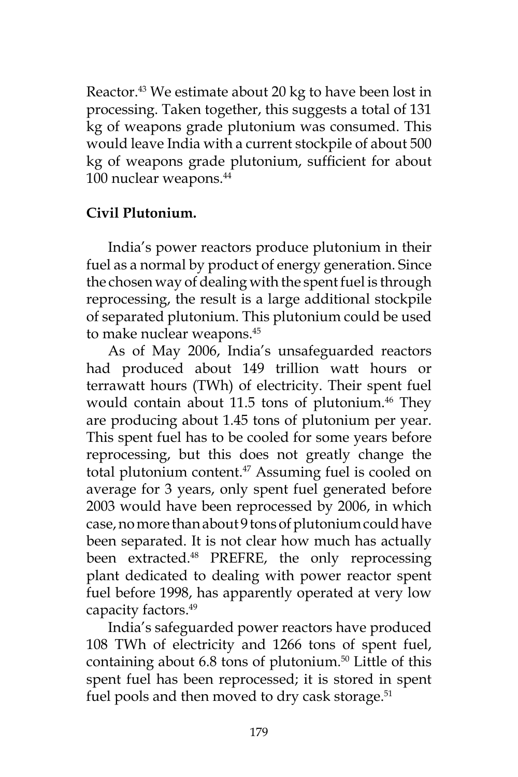Reactor.<sup>43</sup> We estimate about 20 kg to have been lost in processing. Taken together, this suggests a total of 131 kg of weapons grade plutonium was consumed. This would leave India with a current stockpile of about 500 kg of weapons grade plutonium, sufficient for about 100 nuclear weapons.<sup>44</sup>

#### **Civil Plutonium.**

India's power reactors produce plutonium in their fuel as a normal by product of energy generation. Since the chosen way of dealing with the spent fuel is through reprocessing, the result is a large additional stockpile of separated plutonium. This plutonium could be used to make nuclear weapons.<sup>45</sup>

As of May 2006, India's unsafeguarded reactors had produced about 149 trillion watt hours or terrawatt hours (TWh) of electricity. Their spent fuel would contain about 11.5 tons of plutonium.<sup>46</sup> They are producing about 1.45 tons of plutonium per year. This spent fuel has to be cooled for some years before reprocessing, but this does not greatly change the total plutonium content.<sup>47</sup> Assuming fuel is cooled on average for 3 years, only spent fuel generated before 2003 would have been reprocessed by 2006, in which case, no more than about 9 tons of plutonium could have been separated. It is not clear how much has actually been extracted.<sup>48</sup> PREFRE, the only reprocessing plant dedicated to dealing with power reactor spent fuel before 1998, has apparently operated at very low capacity factors.<sup>49</sup>

India's safeguarded power reactors have produced 108 TWh of electricity and 1266 tons of spent fuel, containing about  $6.8$  tons of plutonium.<sup>50</sup> Little of this spent fuel has been reprocessed; it is stored in spent fuel pools and then moved to dry cask storage.<sup>51</sup>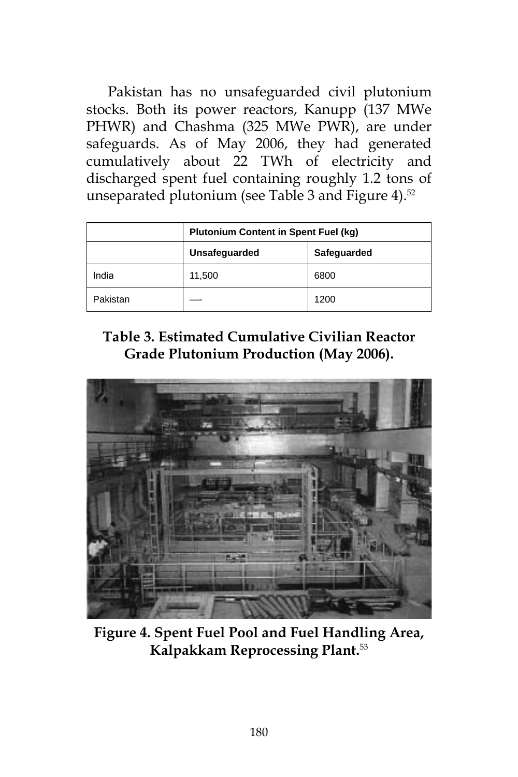Pakistan has no unsafeguarded civil plutonium stocks. Both its power reactors, Kanupp (137 MWe PHWR) and Chashma (325 MWe PWR), are under safeguards. As of May 2006, they had generated cumulatively about 22 TWh of electricity and discharged spent fuel containing roughly 1.2 tons of unseparated plutonium (see Table 3 and Figure 4).<sup>52</sup>

|          | <b>Plutonium Content in Spent Fuel (kg)</b> |      |  |  |
|----------|---------------------------------------------|------|--|--|
|          | Unsafeguarded<br>Safeguarded                |      |  |  |
| India    | 11,500                                      | 6800 |  |  |
| Pakistan |                                             | 1200 |  |  |

**Table 3. Estimated Cumulative Civilian Reactor Grade Plutonium Production (May 2006).**



**Figure 4. Spent Fuel Pool and Fuel Handling Area, Kalpakkam Reprocessing Plant.**53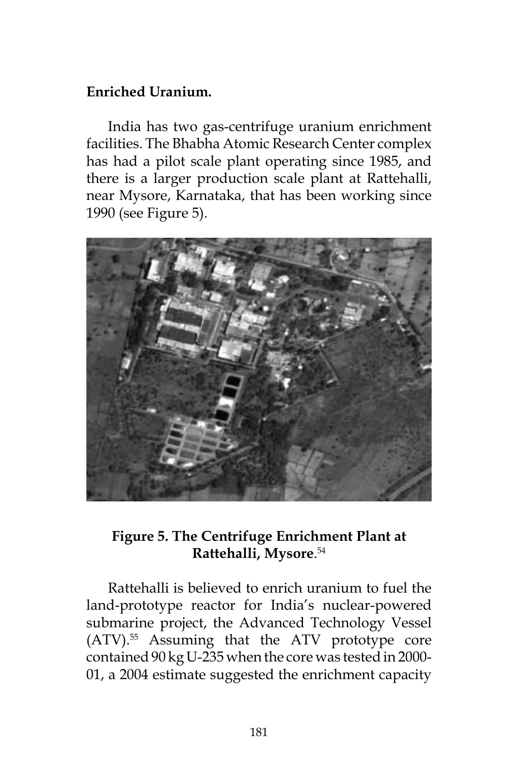#### **Enriched Uranium.**

India has two gas-centrifuge uranium enrichment facilities. The Bhabha Atomic Research Center complex has had a pilot scale plant operating since 1985, and there is a larger production scale plant at Rattehalli, near Mysore, Karnataka, that has been working since 1990 (see Figure 5).



### **Figure 5. The Centrifuge Enrichment Plant at Rattehalli, Mysore**. 54

Rattehalli is believed to enrich uranium to fuel the land-prototype reactor for India's nuclear-powered submarine project, the Advanced Technology Vessel (ATV).55 Assuming that the ATV prototype core contained 90 kg U-235 when the core was tested in 2000- 01, a 2004 estimate suggested the enrichment capacity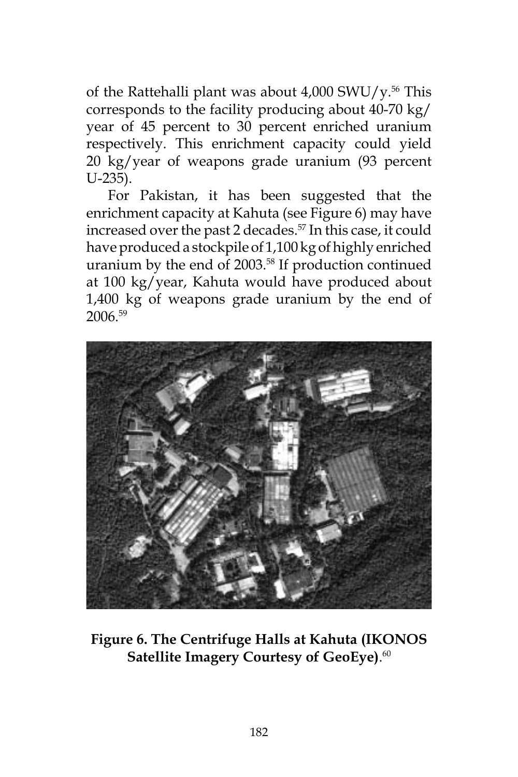of the Rattehalli plant was about  $4,000$  SWU/y.<sup>56</sup> This corresponds to the facility producing about 40-70 kg/ year of 45 percent to 30 percent enriched uranium respectively. This enrichment capacity could yield 20 kg/year of weapons grade uranium (93 percent U-235).

For Pakistan, it has been suggested that the enrichment capacity at Kahuta (see Figure 6) may have increased over the past 2 decades.<sup>57</sup> In this case, it could have produced a stockpile of 1,100 kg of highly enriched uranium by the end of 2003.58 If production continued at 100 kg/year, Kahuta would have produced about 1,400 kg of weapons grade uranium by the end of 2006.59



**Figure 6. The Centrifuge Halls at Kahuta (IKONOS Satellite Imagery Courtesy of GeoEye)**. 60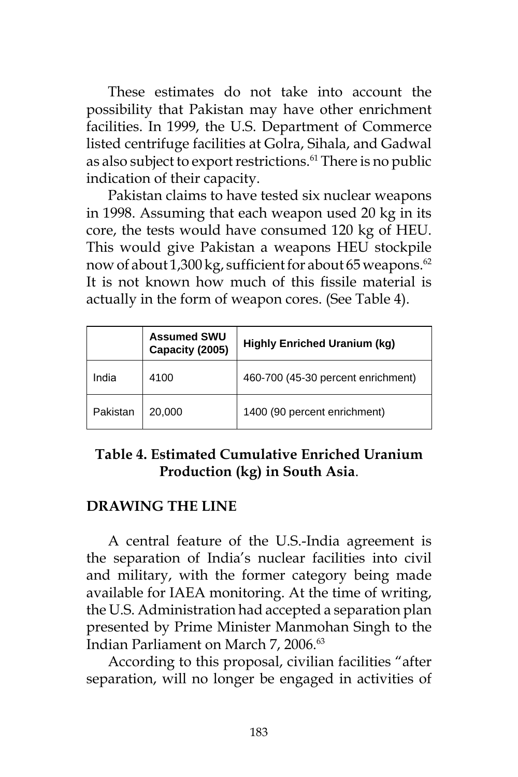These estimates do not take into account the possibility that Pakistan may have other enrichment facilities. In 1999, the U.S. Department of Commerce listed centrifuge facilities at Golra, Sihala, and Gadwal as also subject to export restrictions.<sup>61</sup> There is no public indication of their capacity.

Pakistan claims to have tested six nuclear weapons in 1998. Assuming that each weapon used 20 kg in its core, the tests would have consumed 120 kg of HEU. This would give Pakistan a weapons HEU stockpile now of about 1,300 kg, sufficient for about 65 weapons.<sup>62</sup> It is not known how much of this fissile material is actually in the form of weapon cores. (See Table 4).

|          | <b>Assumed SWU</b><br>Capacity (2005) | <b>Highly Enriched Uranium (kg)</b> |
|----------|---------------------------------------|-------------------------------------|
| India    | 4100                                  | 460-700 (45-30 percent enrichment)  |
| Pakistan | 20,000                                | 1400 (90 percent enrichment)        |

## **Table 4. Estimated Cumulative Enriched Uranium Production (kg) in South Asia**.

#### **DRAWING THE LINE**

A central feature of the U.S.-India agreement is the separation of India's nuclear facilities into civil and military, with the former category being made available for IAEA monitoring. At the time of writing, the U.S. Administration had accepted a separation plan presented by Prime Minister Manmohan Singh to the Indian Parliament on March 7, 2006.<sup>63</sup>

According to this proposal, civilian facilities "after separation, will no longer be engaged in activities of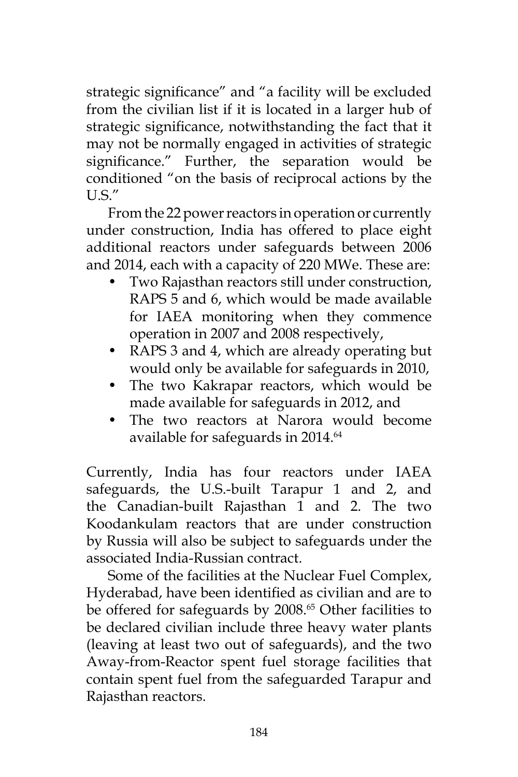strategic significance" and "a facility will be excluded from the civilian list if it is located in a larger hub of strategic significance, notwithstanding the fact that it may not be normally engaged in activities of strategic significance." Further, the separation would be conditioned "on the basis of reciprocal actions by the U.S."

From the 22 power reactors in operation or currently under construction, India has offered to place eight additional reactors under safeguards between 2006 and 2014, each with a capacity of 220 MWe. These are:

- Two Rajasthan reactors still under construction, RAPS 5 and 6, which would be made available for IAEA monitoring when they commence operation in 2007 and 2008 respectively,
- RAPS 3 and 4, which are already operating but would only be available for safeguards in 2010,
- The two Kakrapar reactors, which would be made available for safeguards in 2012, and
- The two reactors at Narora would become available for safeguards in 2014.<sup>64</sup>

Currently, India has four reactors under IAEA safeguards, the U.S.-built Tarapur 1 and 2, and the Canadian-built Rajasthan 1 and 2. The two Koodankulam reactors that are under construction by Russia will also be subject to safeguards under the associated India-Russian contract.

Some of the facilities at the Nuclear Fuel Complex, Hyderabad, have been identified as civilian and are to be offered for safeguards by 2008.<sup>65</sup> Other facilities to be declared civilian include three heavy water plants (leaving at least two out of safeguards), and the two Away-from-Reactor spent fuel storage facilities that contain spent fuel from the safeguarded Tarapur and Rajasthan reactors.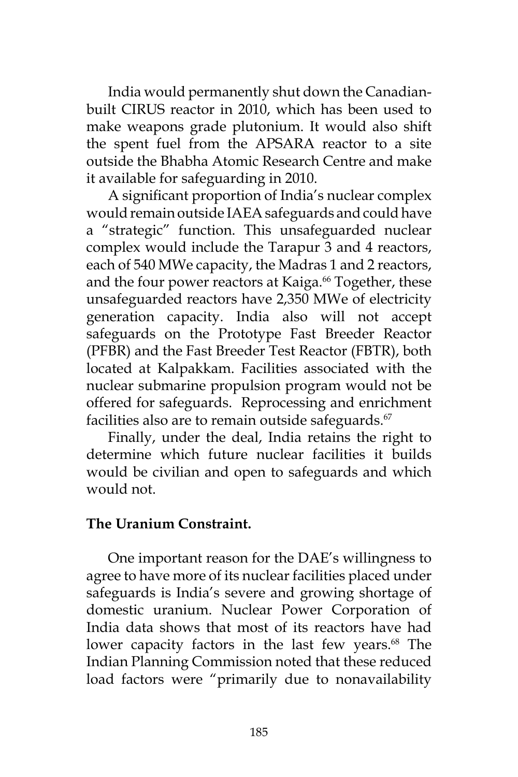India would permanently shut down the Canadianbuilt CIRUS reactor in 2010, which has been used to make weapons grade plutonium. It would also shift the spent fuel from the APSARA reactor to a site outside the Bhabha Atomic Research Centre and make it available for safeguarding in 2010.

A significant proportion of India's nuclear complex would remain outside IAEA safeguards and could have a "strategic" function. This unsafeguarded nuclear complex would include the Tarapur 3 and 4 reactors, each of 540 MWe capacity, the Madras 1 and 2 reactors, and the four power reactors at Kaiga.<sup>66</sup> Together, these unsafeguarded reactors have 2,350 MWe of electricity generation capacity. India also will not accept safeguards on the Prototype Fast Breeder Reactor (PFBR) and the Fast Breeder Test Reactor (FBTR), both located at Kalpakkam. Facilities associated with the nuclear submarine propulsion program would not be offered for safeguards. Reprocessing and enrichment facilities also are to remain outside safeguards. $67$ 

Finally, under the deal, India retains the right to determine which future nuclear facilities it builds would be civilian and open to safeguards and which would not.

#### **The Uranium Constraint.**

One important reason for the DAE's willingness to agree to have more of its nuclear facilities placed under safeguards is India's severe and growing shortage of domestic uranium. Nuclear Power Corporation of India data shows that most of its reactors have had lower capacity factors in the last few years.<sup>68</sup> The Indian Planning Commission noted that these reduced load factors were "primarily due to nonavailability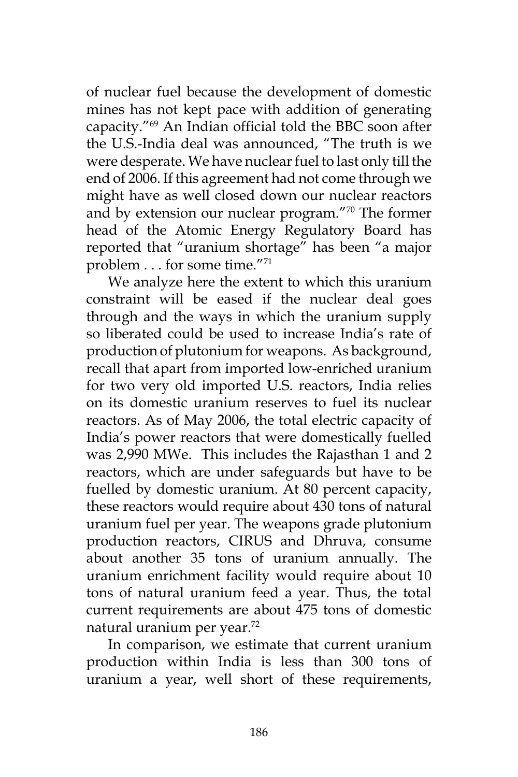of nuclear fuel because the development of domestic mines has not kept pace with addition of generating capacity."69 An Indian official told the BBC soon after the U.S.-India deal was announced, "The truth is we were desperate. We have nuclear fuel to last only till the end of 2006. If this agreement had not come through we might have as well closed down our nuclear reactors and by extension our nuclear program."70 The former head of the Atomic Energy Regulatory Board has reported that "uranium shortage" has been "a major problem . . . for some time."71

We analyze here the extent to which this uranium constraint will be eased if the nuclear deal goes through and the ways in which the uranium supply so liberated could be used to increase India's rate of production of plutonium for weapons. As background, recall that apart from imported low-enriched uranium for two very old imported U.S. reactors, India relies on its domestic uranium reserves to fuel its nuclear reactors. As of May 2006, the total electric capacity of India's power reactors that were domestically fuelled was 2,990 MWe. This includes the Rajasthan 1 and 2 reactors, which are under safeguards but have to be fuelled by domestic uranium. At 80 percent capacity, these reactors would require about 430 tons of natural uranium fuel per year. The weapons grade plutonium production reactors, CIRUS and Dhruva, consume about another 35 tons of uranium annually. The uranium enrichment facility would require about 10 tons of natural uranium feed a year. Thus, the total current requirements are about 475 tons of domestic natural uranium per year.72

In comparison, we estimate that current uranium production within India is less than 300 tons of uranium a year, well short of these requirements,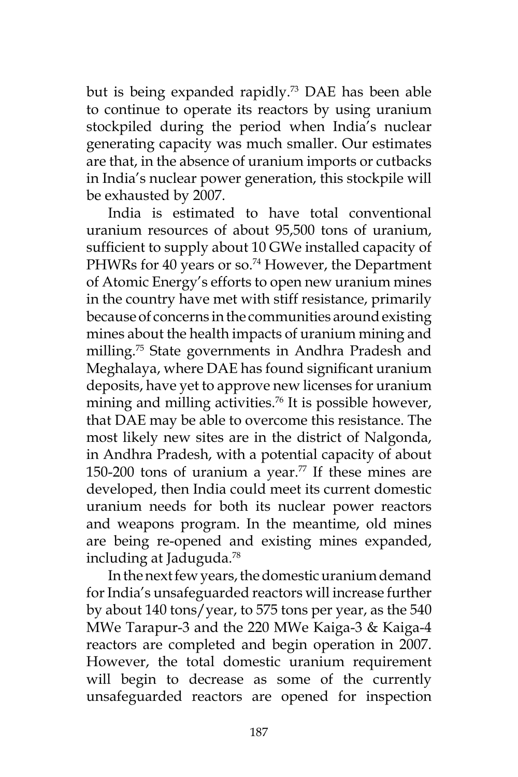but is being expanded rapidly.<sup>73</sup> DAE has been able to continue to operate its reactors by using uranium stockpiled during the period when India's nuclear generating capacity was much smaller. Our estimates are that, in the absence of uranium imports or cutbacks in India's nuclear power generation, this stockpile will be exhausted by 2007.

India is estimated to have total conventional uranium resources of about 95,500 tons of uranium, sufficient to supply about 10 GWe installed capacity of PHWRs for 40 years or so.<sup>74</sup> However, the Department of Atomic Energy's efforts to open new uranium mines in the country have met with stiff resistance, primarily because of concerns in the communities around existing mines about the health impacts of uranium mining and milling.75 State governments in Andhra Pradesh and Meghalaya, where DAE has found significant uranium deposits, have yet to approve new licenses for uranium mining and milling activities.<sup>76</sup> It is possible however, that DAE may be able to overcome this resistance. The most likely new sites are in the district of Nalgonda, in Andhra Pradesh, with a potential capacity of about 150-200 tons of uranium a year.<sup>77</sup> If these mines are developed, then India could meet its current domestic uranium needs for both its nuclear power reactors and weapons program. In the meantime, old mines are being re-opened and existing mines expanded, including at Jaduguda.78

In the next few years, the domestic uranium demand for India's unsafeguarded reactors will increase further by about 140 tons/year, to 575 tons per year, as the 540 MWe Tarapur-3 and the 220 MWe Kaiga-3 & Kaiga-4 reactors are completed and begin operation in 2007. However, the total domestic uranium requirement will begin to decrease as some of the currently unsafeguarded reactors are opened for inspection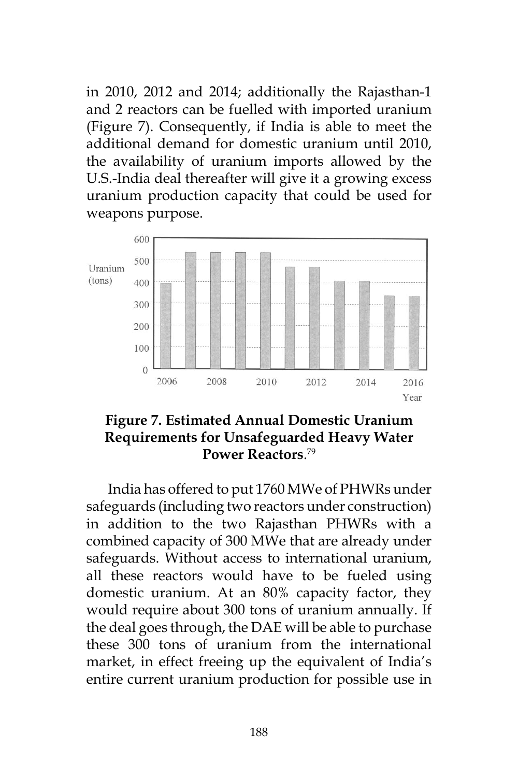in 2010, 2012 and 2014; additionally the Rajasthan-1 and 2 reactors can be fuelled with imported uranium (Figure 7). Consequently, if India is able to meet the additional demand for domestic uranium until 2010, the availability of uranium imports allowed by the U.S.-India deal thereafter will give it a growing excess uranium production capacity that could be used for weapons purpose.



### **Figure 7. Estimated Annual Domestic Uranium Requirements for Unsafeguarded Heavy Water Power Reactors**. 79

India has offered to put 1760 MWe of PHWRs under safeguards (including two reactors under construction) in addition to the two Rajasthan PHWRs with a combined capacity of 300 MWe that are already under safeguards. Without access to international uranium, all these reactors would have to be fueled using domestic uranium. At an 80% capacity factor, they would require about 300 tons of uranium annually. If the deal goes through, the DAE will be able to purchase these 300 tons of uranium from the international market, in effect freeing up the equivalent of India's entire current uranium production for possible use in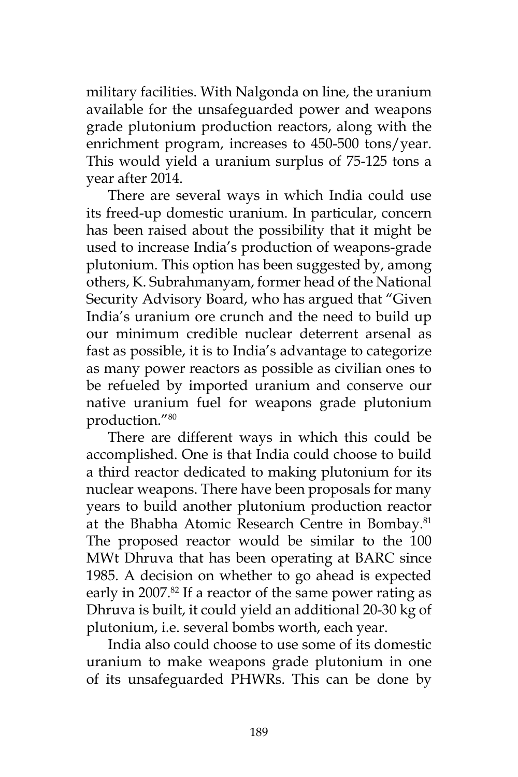military facilities. With Nalgonda on line, the uranium available for the unsafeguarded power and weapons grade plutonium production reactors, along with the enrichment program, increases to 450-500 tons/year. This would yield a uranium surplus of 75-125 tons a year after 2014.

There are several ways in which India could use its freed-up domestic uranium. In particular, concern has been raised about the possibility that it might be used to increase India's production of weapons-grade plutonium. This option has been suggested by, among others, K. Subrahmanyam, former head of the National Security Advisory Board, who has argued that "Given India's uranium ore crunch and the need to build up our minimum credible nuclear deterrent arsenal as fast as possible, it is to India's advantage to categorize as many power reactors as possible as civilian ones to be refueled by imported uranium and conserve our native uranium fuel for weapons grade plutonium production."80

There are different ways in which this could be accomplished. One is that India could choose to build a third reactor dedicated to making plutonium for its nuclear weapons. There have been proposals for many years to build another plutonium production reactor at the Bhabha Atomic Research Centre in Bombay.<sup>81</sup> The proposed reactor would be similar to the 100 MWt Dhruva that has been operating at BARC since 1985. A decision on whether to go ahead is expected early in 2007.<sup>82</sup> If a reactor of the same power rating as Dhruva is built, it could yield an additional 20-30 kg of plutonium, i.e. several bombs worth, each year.

India also could choose to use some of its domestic uranium to make weapons grade plutonium in one of its unsafeguarded PHWRs. This can be done by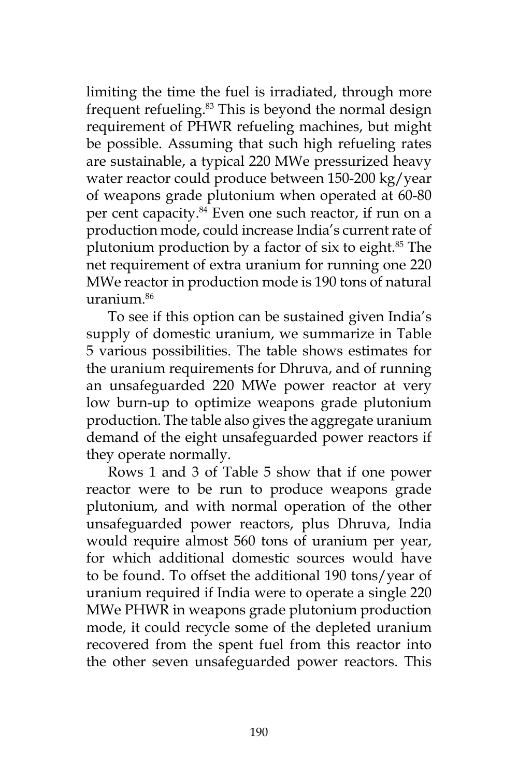limiting the time the fuel is irradiated, through more frequent refueling.<sup>83</sup> This is beyond the normal design requirement of PHWR refueling machines, but might be possible. Assuming that such high refueling rates are sustainable, a typical 220 MWe pressurized heavy water reactor could produce between 150-200 kg/year of weapons grade plutonium when operated at 60-80 per cent capacity.<sup>84</sup> Even one such reactor, if run on a production mode, could increase India's current rate of plutonium production by a factor of six to eight.85 The net requirement of extra uranium for running one 220 MWe reactor in production mode is 190 tons of natural  $urarium<sup>86</sup>$ 

To see if this option can be sustained given India's supply of domestic uranium, we summarize in Table 5 various possibilities. The table shows estimates for the uranium requirements for Dhruva, and of running an unsafeguarded 220 MWe power reactor at very low burn-up to optimize weapons grade plutonium production. The table also gives the aggregate uranium demand of the eight unsafeguarded power reactors if they operate normally.

Rows 1 and 3 of Table 5 show that if one power reactor were to be run to produce weapons grade plutonium, and with normal operation of the other unsafeguarded power reactors, plus Dhruva, India would require almost 560 tons of uranium per year, for which additional domestic sources would have to be found. To offset the additional 190 tons/year of uranium required if India were to operate a single 220 MWe PHWR in weapons grade plutonium production mode, it could recycle some of the depleted uranium recovered from the spent fuel from this reactor into the other seven unsafeguarded power reactors. This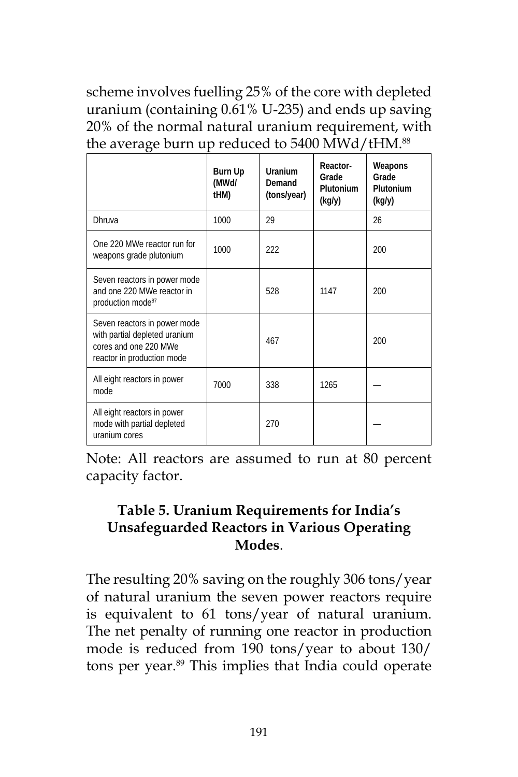scheme involves fuelling 25% of the core with depleted uranium (containing 0.61% U-235) and ends up saving 20% of the normal natural uranium requirement, with the average burn up reduced to 5400 MWd/tHM.<sup>88</sup>

|                                                                                                                      | Burn Up<br>(MWd/<br>tHM) | Uranium<br>Demand<br>(tons/year) | Reactor-<br>Grade<br>Plutonium<br>(kg/y) | Weapons<br>Grade<br>Plutonium<br>(kg/y) |
|----------------------------------------------------------------------------------------------------------------------|--------------------------|----------------------------------|------------------------------------------|-----------------------------------------|
| Dhruva                                                                                                               | 1000                     | 29                               |                                          | 26                                      |
| One 220 MWe reactor run for<br>weapons grade plutonium                                                               | 1000                     | 222                              |                                          | 200                                     |
| Seven reactors in power mode<br>and one 220 MWe reactor in<br>production mode <sup>87</sup>                          |                          | 528                              | 1147                                     | 200                                     |
| Seven reactors in power mode<br>with partial depleted uranium<br>cores and one 220 MWe<br>reactor in production mode |                          | 467                              |                                          | 200                                     |
| All eight reactors in power<br>mode                                                                                  | 7000                     | 338                              | 1265                                     |                                         |
| All eight reactors in power<br>mode with partial depleted<br>uranium cores                                           |                          | 270                              |                                          |                                         |

Note: All reactors are assumed to run at 80 percent capacity factor.

## **Table 5. Uranium Requirements for India's Unsafeguarded Reactors in Various Operating Modes**.

The resulting 20% saving on the roughly 306 tons/year of natural uranium the seven power reactors require is equivalent to 61 tons/year of natural uranium. The net penalty of running one reactor in production mode is reduced from 190 tons/year to about 130/ tons per year.<sup>89</sup> This implies that India could operate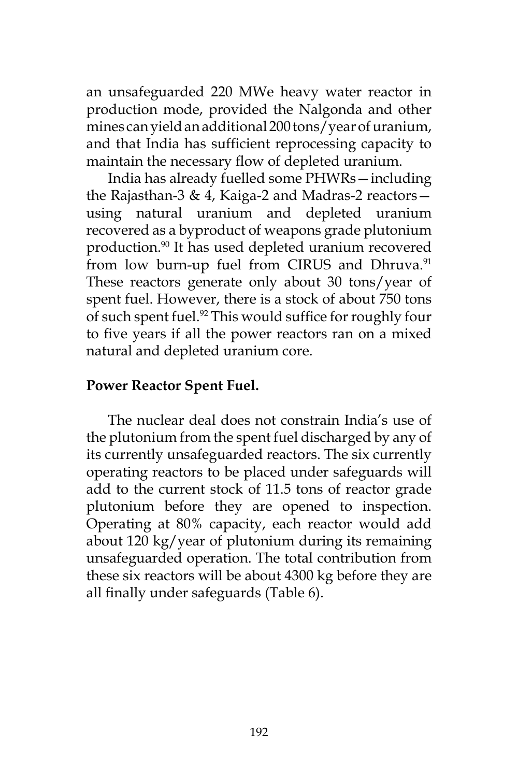an unsafeguarded 220 MWe heavy water reactor in production mode, provided the Nalgonda and other mines can yield an additional 200 tons/year of uranium, and that India has sufficient reprocessing capacity to maintain the necessary flow of depleted uranium.

India has already fuelled some PHWRs—including the Rajasthan-3 & 4, Kaiga-2 and Madras-2 reactors using natural uranium and depleted uranium recovered as a byproduct of weapons grade plutonium production.90 It has used depleted uranium recovered from low burn-up fuel from CIRUS and Dhruva.<sup>91</sup> These reactors generate only about 30 tons/year of spent fuel. However, there is a stock of about 750 tons of such spent fuel.<sup>92</sup> This would suffice for roughly four to five years if all the power reactors ran on a mixed natural and depleted uranium core.

### **Power Reactor Spent Fuel.**

The nuclear deal does not constrain India's use of the plutonium from the spent fuel discharged by any of its currently unsafeguarded reactors. The six currently operating reactors to be placed under safeguards will add to the current stock of 11.5 tons of reactor grade plutonium before they are opened to inspection. Operating at 80% capacity, each reactor would add about 120 kg/year of plutonium during its remaining unsafeguarded operation. The total contribution from these six reactors will be about 4300 kg before they are all finally under safeguards (Table 6).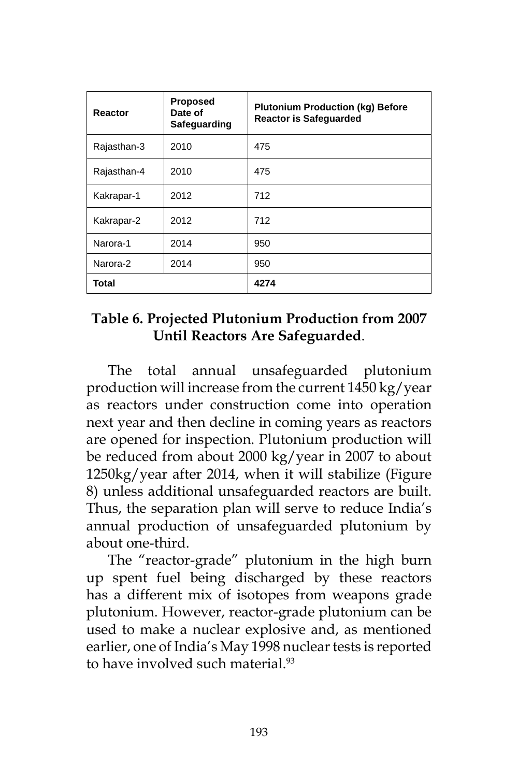| Reactor      | <b>Proposed</b><br>Date of<br>Safeguarding | <b>Plutonium Production (kg) Before</b><br><b>Reactor is Safeguarded</b> |  |
|--------------|--------------------------------------------|--------------------------------------------------------------------------|--|
| Rajasthan-3  | 2010                                       | 475                                                                      |  |
| Rajasthan-4  | 2010                                       | 475                                                                      |  |
| Kakrapar-1   | 2012                                       | 712                                                                      |  |
| Kakrapar-2   | 2012                                       | 712                                                                      |  |
| Narora-1     | 2014                                       | 950                                                                      |  |
| Narora-2     | 2014                                       | 950                                                                      |  |
| <b>Total</b> |                                            | 4274                                                                     |  |

### **Table 6. Projected Plutonium Production from 2007 Until Reactors Are Safeguarded**.

The total annual unsafeguarded plutonium production will increase from the current 1450 kg/year as reactors under construction come into operation next year and then decline in coming years as reactors are opened for inspection. Plutonium production will be reduced from about 2000 kg/year in 2007 to about 1250kg/year after 2014, when it will stabilize (Figure 8) unless additional unsafeguarded reactors are built. Thus, the separation plan will serve to reduce India's annual production of unsafeguarded plutonium by about one-third.

The "reactor-grade" plutonium in the high burn up spent fuel being discharged by these reactors has a different mix of isotopes from weapons grade plutonium. However, reactor-grade plutonium can be used to make a nuclear explosive and, as mentioned earlier, one of India's May 1998 nuclear tests is reported to have involved such material.<sup>93</sup>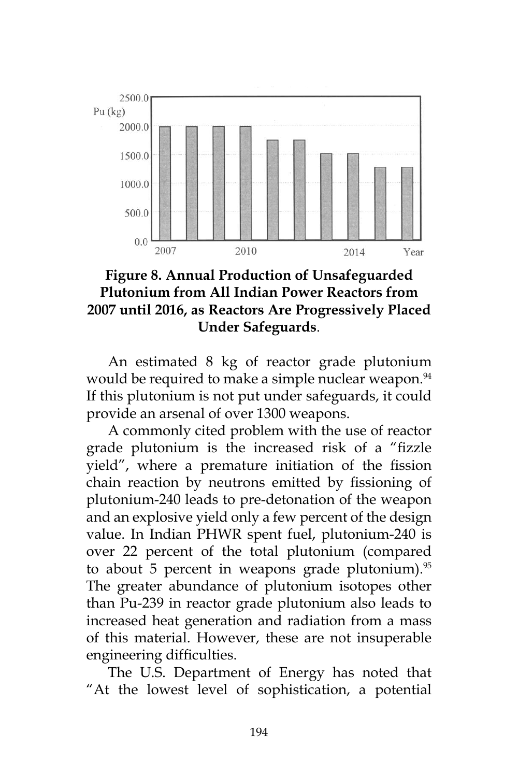

### **Figure 8. Annual Production of Unsafeguarded Plutonium from All Indian Power Reactors from 2007 until 2016, as Reactors Are Progressively Placed Under Safeguards**.

An estimated 8 kg of reactor grade plutonium would be required to make a simple nuclear weapon.<sup>94</sup> If this plutonium is not put under safeguards, it could provide an arsenal of over 1300 weapons.

A commonly cited problem with the use of reactor grade plutonium is the increased risk of a "fizzle yield", where a premature initiation of the fission chain reaction by neutrons emitted by fissioning of plutonium-240 leads to pre-detonation of the weapon and an explosive yield only a few percent of the design value. In Indian PHWR spent fuel, plutonium-240 is over 22 percent of the total plutonium (compared to about 5 percent in weapons grade plutonium). $95$ The greater abundance of plutonium isotopes other than Pu-239 in reactor grade plutonium also leads to increased heat generation and radiation from a mass of this material. However, these are not insuperable engineering difficulties.

The U.S. Department of Energy has noted that "At the lowest level of sophistication, a potential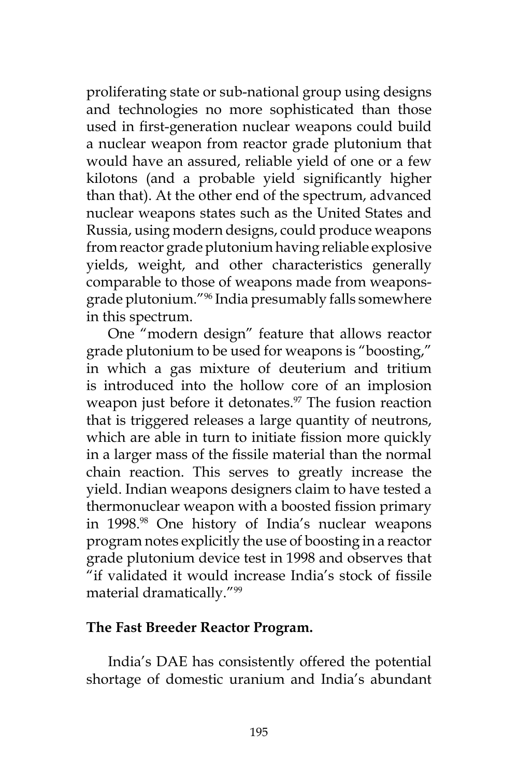proliferating state or sub-national group using designs and technologies no more sophisticated than those used in first-generation nuclear weapons could build a nuclear weapon from reactor grade plutonium that would have an assured, reliable yield of one or a few kilotons (and a probable yield significantly higher than that). At the other end of the spectrum, advanced nuclear weapons states such as the United States and Russia, using modern designs, could produce weapons from reactor grade plutonium having reliable explosive yields, weight, and other characteristics generally comparable to those of weapons made from weaponsgrade plutonium."96 India presumably falls somewhere in this spectrum.

One "modern design" feature that allows reactor grade plutonium to be used for weapons is "boosting," in which a gas mixture of deuterium and tritium is introduced into the hollow core of an implosion weapon just before it detonates.<sup>97</sup> The fusion reaction that is triggered releases a large quantity of neutrons, which are able in turn to initiate fission more quickly in a larger mass of the fissile material than the normal chain reaction. This serves to greatly increase the yield. Indian weapons designers claim to have tested a thermonuclear weapon with a boosted fission primary in 1998.98 One history of India's nuclear weapons program notes explicitly the use of boosting in a reactor grade plutonium device test in 1998 and observes that "if validated it would increase India's stock of fissile material dramatically."99

#### **The Fast Breeder Reactor Program.**

India's DAE has consistently offered the potential shortage of domestic uranium and India's abundant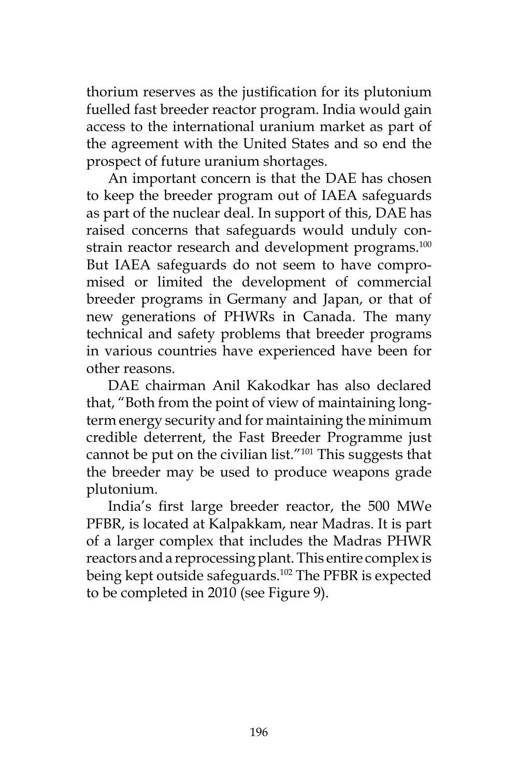thorium reserves as the justification for its plutonium fuelled fast breeder reactor program. India would gain access to the international uranium market as part of the agreement with the United States and so end the prospect of future uranium shortages.

An important concern is that the DAE has chosen to keep the breeder program out of IAEA safeguards as part of the nuclear deal. In support of this, DAE has raised concerns that safeguards would unduly constrain reactor research and development programs.<sup>100</sup> But IAEA safeguards do not seem to have compromised or limited the development of commercial breeder programs in Germany and Japan, or that of new generations of PHWRs in Canada. The many technical and safety problems that breeder programs in various countries have experienced have been for other reasons.

DAE chairman Anil Kakodkar has also declared that, "Both from the point of view of maintaining longterm energy security and for maintaining the minimum credible deterrent, the Fast Breeder Programme just cannot be put on the civilian list."<sup>101</sup> This suggests that the breeder may be used to produce weapons grade plutonium.

India's first large breeder reactor, the 500 MWe PFBR, is located at Kalpakkam, near Madras. It is part of a larger complex that includes the Madras PHWR reactors and a reprocessing plant. This entire complex is being kept outside safeguards.<sup>102</sup> The PFBR is expected to be completed in 2010 (see Figure 9).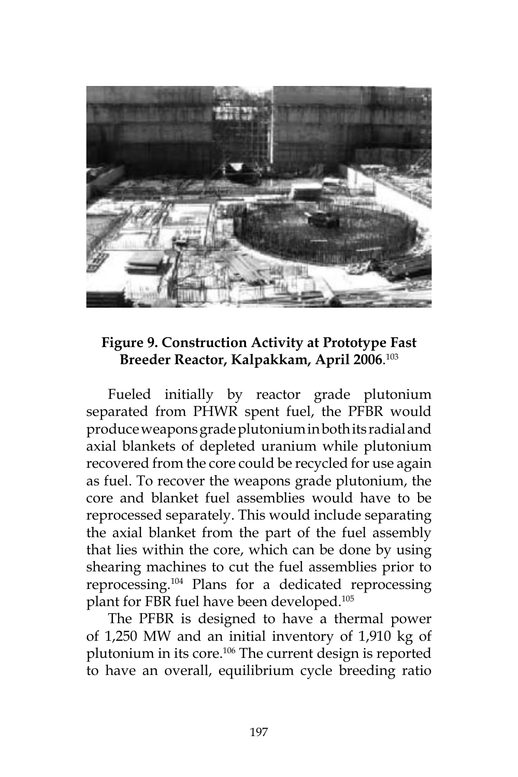

### **Figure 9. Construction Activity at Prototype Fast Breeder Reactor, Kalpakkam, April 2006**. 103

Fueled initially by reactor grade plutonium separated from PHWR spent fuel, the PFBR would produce weapons grade plutonium in both its radial and axial blankets of depleted uranium while plutonium recovered from the core could be recycled for use again as fuel. To recover the weapons grade plutonium, the core and blanket fuel assemblies would have to be reprocessed separately. This would include separating the axial blanket from the part of the fuel assembly that lies within the core, which can be done by using shearing machines to cut the fuel assemblies prior to reprocessing.104 Plans for a dedicated reprocessing plant for FBR fuel have been developed.105

The PFBR is designed to have a thermal power of 1,250 MW and an initial inventory of 1,910 kg of plutonium in its core.106 The current design is reported to have an overall, equilibrium cycle breeding ratio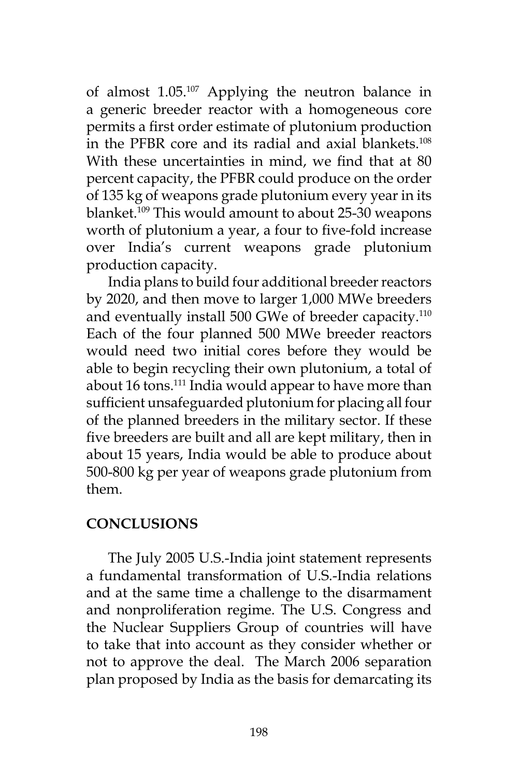of almost 1.05.107 Applying the neutron balance in a generic breeder reactor with a homogeneous core permits a first order estimate of plutonium production in the PFBR core and its radial and axial blankets.<sup>108</sup> With these uncertainties in mind, we find that at 80 percent capacity, the PFBR could produce on the order of 135 kg of weapons grade plutonium every year in its blanket.<sup>109</sup> This would amount to about 25-30 weapons worth of plutonium a year, a four to five-fold increase over India's current weapons grade plutonium production capacity.

India plans to build four additional breeder reactors by 2020, and then move to larger 1,000 MWe breeders and eventually install 500 GWe of breeder capacity.<sup>110</sup> Each of the four planned 500 MWe breeder reactors would need two initial cores before they would be able to begin recycling their own plutonium, a total of about 16 tons.<sup>111</sup> India would appear to have more than sufficient unsafeguarded plutonium for placing all four of the planned breeders in the military sector. If these five breeders are built and all are kept military, then in about 15 years, India would be able to produce about 500-800 kg per year of weapons grade plutonium from them.

### **CONCLUSIONS**

The July 2005 U.S.-India joint statement represents a fundamental transformation of U.S.-India relations and at the same time a challenge to the disarmament and nonproliferation regime. The U.S. Congress and the Nuclear Suppliers Group of countries will have to take that into account as they consider whether or not to approve the deal. The March 2006 separation plan proposed by India as the basis for demarcating its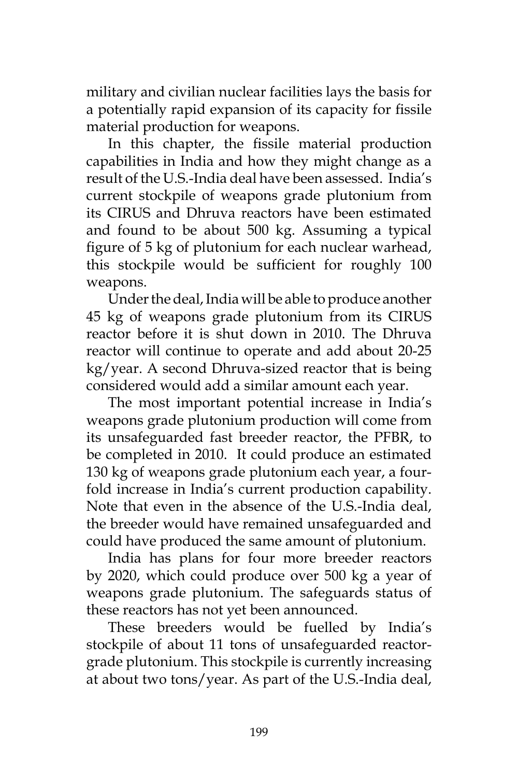military and civilian nuclear facilities lays the basis for a potentially rapid expansion of its capacity for fissile material production for weapons.

In this chapter, the fissile material production capabilities in India and how they might change as a result of the U.S.-India deal have been assessed. India's current stockpile of weapons grade plutonium from its CIRUS and Dhruva reactors have been estimated and found to be about 500 kg. Assuming a typical figure of 5 kg of plutonium for each nuclear warhead, this stockpile would be sufficient for roughly 100 weapons.

Under the deal, India will be able to produce another 45 kg of weapons grade plutonium from its CIRUS reactor before it is shut down in 2010. The Dhruva reactor will continue to operate and add about 20-25 kg/year. A second Dhruva-sized reactor that is being considered would add a similar amount each year.

The most important potential increase in India's weapons grade plutonium production will come from its unsafeguarded fast breeder reactor, the PFBR, to be completed in 2010. It could produce an estimated 130 kg of weapons grade plutonium each year, a fourfold increase in India's current production capability. Note that even in the absence of the U.S.-India deal, the breeder would have remained unsafeguarded and could have produced the same amount of plutonium.

India has plans for four more breeder reactors by 2020, which could produce over 500 kg a year of weapons grade plutonium. The safeguards status of these reactors has not yet been announced.

These breeders would be fuelled by India's stockpile of about 11 tons of unsafeguarded reactorgrade plutonium. This stockpile is currently increasing at about two tons/year. As part of the U.S.-India deal,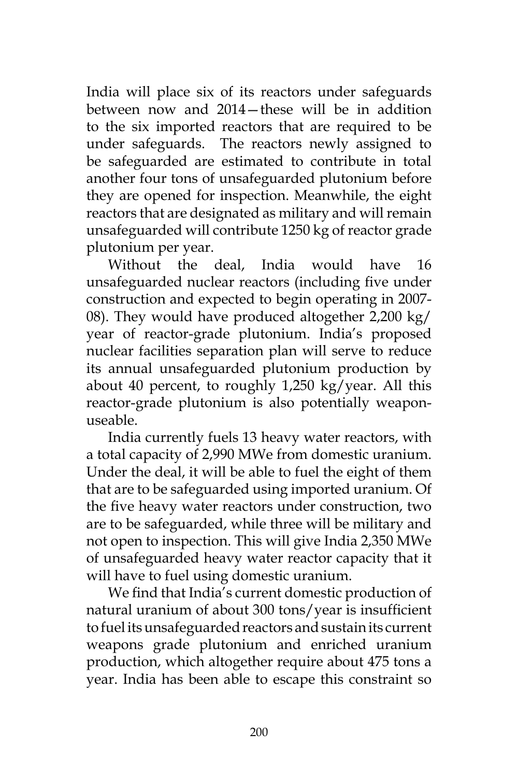India will place six of its reactors under safeguards between now and 2014—these will be in addition to the six imported reactors that are required to be under safeguards. The reactors newly assigned to be safeguarded are estimated to contribute in total another four tons of unsafeguarded plutonium before they are opened for inspection. Meanwhile, the eight reactors that are designated as military and will remain unsafeguarded will contribute 1250 kg of reactor grade plutonium per year.

Without the deal, India would have 16 unsafeguarded nuclear reactors (including five under construction and expected to begin operating in 2007- 08). They would have produced altogether 2,200 kg/ year of reactor-grade plutonium. India's proposed nuclear facilities separation plan will serve to reduce its annual unsafeguarded plutonium production by about 40 percent, to roughly 1,250 kg/year. All this reactor-grade plutonium is also potentially weaponuseable.

India currently fuels 13 heavy water reactors, with a total capacity of 2,990 MWe from domestic uranium. Under the deal, it will be able to fuel the eight of them that are to be safeguarded using imported uranium. Of the five heavy water reactors under construction, two are to be safeguarded, while three will be military and not open to inspection. This will give India 2,350 MWe of unsafeguarded heavy water reactor capacity that it will have to fuel using domestic uranium.

We find that India's current domestic production of natural uranium of about 300 tons/year is insufficient to fuel its unsafeguarded reactors and sustain its current weapons grade plutonium and enriched uranium production, which altogether require about 475 tons a year. India has been able to escape this constraint so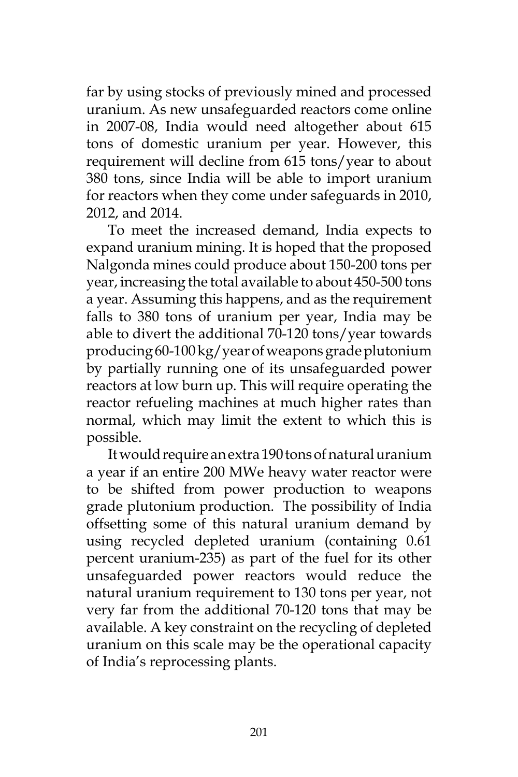far by using stocks of previously mined and processed uranium. As new unsafeguarded reactors come online in 2007-08, India would need altogether about 615 tons of domestic uranium per year. However, this requirement will decline from 615 tons/year to about 380 tons, since India will be able to import uranium for reactors when they come under safeguards in 2010, 2012, and 2014.

To meet the increased demand, India expects to expand uranium mining. It is hoped that the proposed Nalgonda mines could produce about 150-200 tons per year, increasing the total available to about 450-500 tons a year. Assuming this happens, and as the requirement falls to 380 tons of uranium per year, India may be able to divert the additional 70-120 tons/year towards producing 60-100 kg/year of weapons grade plutonium by partially running one of its unsafeguarded power reactors at low burn up. This will require operating the reactor refueling machines at much higher rates than normal, which may limit the extent to which this is possible.

It would require an extra 190 tons of natural uranium a year if an entire 200 MWe heavy water reactor were to be shifted from power production to weapons grade plutonium production. The possibility of India offsetting some of this natural uranium demand by using recycled depleted uranium (containing 0.61 percent uranium-235) as part of the fuel for its other unsafeguarded power reactors would reduce the natural uranium requirement to 130 tons per year, not very far from the additional 70-120 tons that may be available. A key constraint on the recycling of depleted uranium on this scale may be the operational capacity of India's reprocessing plants.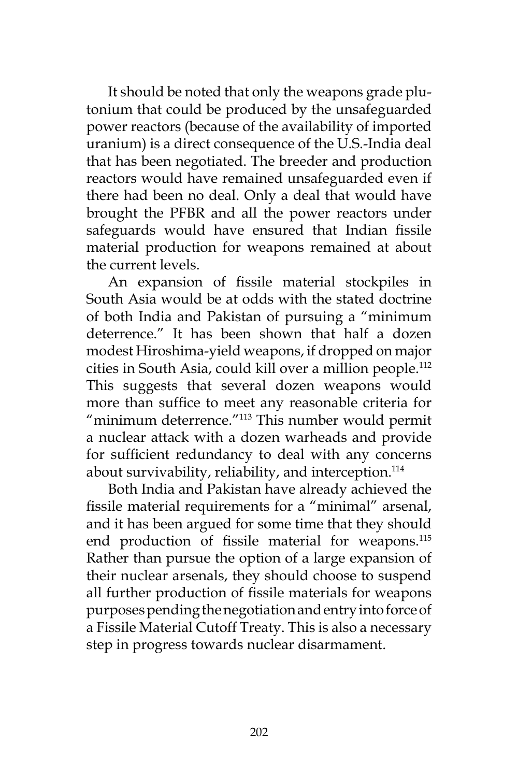It should be noted that only the weapons grade plutonium that could be produced by the unsafeguarded power reactors (because of the availability of imported uranium) is a direct consequence of the U.S.-India deal that has been negotiated. The breeder and production reactors would have remained unsafeguarded even if there had been no deal. Only a deal that would have brought the PFBR and all the power reactors under safeguards would have ensured that Indian fissile material production for weapons remained at about the current levels.

An expansion of fissile material stockpiles in South Asia would be at odds with the stated doctrine of both India and Pakistan of pursuing a "minimum deterrence." It has been shown that half a dozen modest Hiroshima-yield weapons, if dropped on major cities in South Asia, could kill over a million people.112 This suggests that several dozen weapons would more than suffice to meet any reasonable criteria for "minimum deterrence."113 This number would permit a nuclear attack with a dozen warheads and provide for sufficient redundancy to deal with any concerns about survivability, reliability, and interception.<sup>114</sup>

Both India and Pakistan have already achieved the fissile material requirements for a "minimal" arsenal, and it has been argued for some time that they should end production of fissile material for weapons.<sup>115</sup> Rather than pursue the option of a large expansion of their nuclear arsenals, they should choose to suspend all further production of fissile materials for weapons purposes pending the negotiation and entry into force of a Fissile Material Cutoff Treaty. This is also a necessary step in progress towards nuclear disarmament.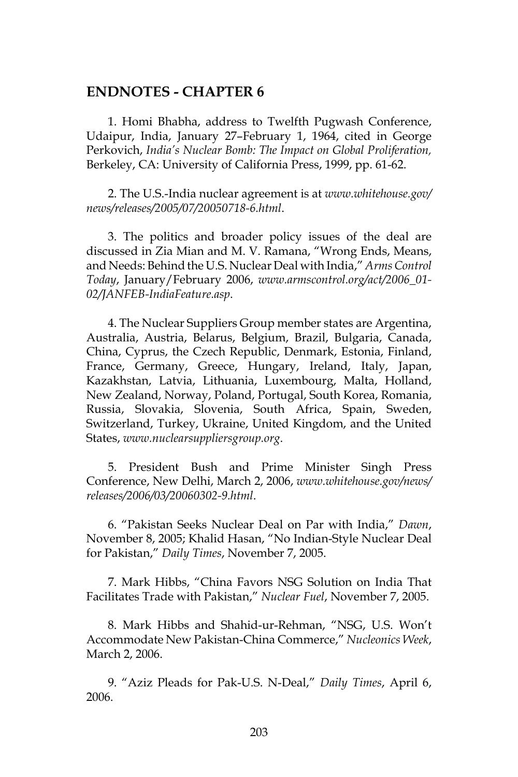#### **ENDNOTES - CHAPTER 6**

1. Homi Bhabha, address to Twelfth Pugwash Conference, Udaipur, India, January 27–February 1, 1964, cited in George Perkovich, *India's Nuclear Bomb: The Impact on Global Proliferation,* Berkeley, CA: University of California Press, 1999, pp. 61-62.

2. The U.S.-India nuclear agreement is at *www.whitehouse.gov/ news/releases/2005/07/20050718-6.html*.

3. The politics and broader policy issues of the deal are discussed in Zia Mian and M. V. Ramana, "Wrong Ends, Means, and Needs: Behind the U.S. Nuclear Deal with India," *Arms Control Today*, January/February 2006, *www.armscontrol.org/act/2006\_01- 02/JANFEB-IndiaFeature.asp*.

4. The Nuclear Suppliers Group member states are Argentina, Australia, Austria, Belarus, Belgium, Brazil, Bulgaria, Canada, China, Cyprus, the Czech Republic, Denmark, Estonia, Finland, France, Germany, Greece, Hungary, Ireland, Italy, Japan, Kazakhstan, Latvia, Lithuania, Luxembourg, Malta, Holland, New Zealand, Norway, Poland, Portugal, South Korea, Romania, Russia, Slovakia, Slovenia, South Africa, Spain, Sweden, Switzerland, Turkey, Ukraine, United Kingdom, and the United States, *www.nuclearsuppliersgroup.org*.

5. President Bush and Prime Minister Singh Press Conference, New Delhi, March 2, 2006, *www.whitehouse.gov/news/ releases/2006/03/20060302-9.html*.

6. "Pakistan Seeks Nuclear Deal on Par with India," *Dawn*, November 8, 2005; Khalid Hasan, "No Indian-Style Nuclear Deal for Pakistan," *Daily Times*, November 7, 2005.

7. Mark Hibbs, "China Favors NSG Solution on India That Facilitates Trade with Pakistan," *Nuclear Fuel*, November 7, 2005.

8. Mark Hibbs and Shahid-ur-Rehman, "NSG, U.S. Won't Accommodate New Pakistan-China Commerce," *Nucleonics Week*, March 2, 2006.

9. "Aziz Pleads for Pak-U.S. N-Deal," *Daily Times*, April 6, 2006.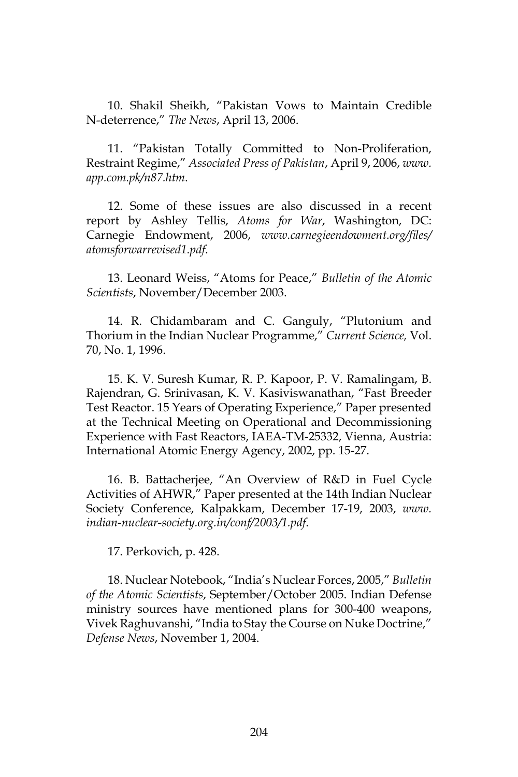10. Shakil Sheikh, "Pakistan Vows to Maintain Credible N-deterrence," *The News*, April 13, 2006.

11. "Pakistan Totally Committed to Non-Proliferation, Restraint Regime," *Associated Press of Pakistan*, April 9, 2006, *www. app.com.pk/n87.htm*.

12. Some of these issues are also discussed in a recent report by Ashley Tellis, *Atoms for War*, Washington, DC: Carnegie Endowment, 2006, *www.carnegieendowment.org/files/ atomsforwarrevised1.pdf*.

13. Leonard Weiss, "Atoms for Peace," *Bulletin of the Atomic Scientists*, November/December 2003.

14. R. Chidambaram and C. Ganguly, "Plutonium and Thorium in the Indian Nuclear Programme," *Current Science,* Vol. 70, No. 1, 1996.

15. K. V. Suresh Kumar, R. P. Kapoor, P. V. Ramalingam, B. Rajendran, G. Srinivasan, K. V. Kasiviswanathan, "Fast Breeder Test Reactor. 15 Years of Operating Experience," Paper presented at the Technical Meeting on Operational and Decommissioning Experience with Fast Reactors, IAEA-TM-25332, Vienna, Austria: International Atomic Energy Agency, 2002, pp. 15-27.

16. B. Battacherjee, "An Overview of R&D in Fuel Cycle Activities of AHWR," Paper presented at the 14th Indian Nuclear Society Conference, Kalpakkam, December 17-19, 2003, *www. indian-nuclear-society.org.in/conf/2003/1.pdf*.

17. Perkovich, p. 428.

18. Nuclear Notebook, "India's Nuclear Forces, 2005," *Bulletin of the Atomic Scientists*, September/October 2005. Indian Defense ministry sources have mentioned plans for 300-400 weapons, Vivek Raghuvanshi, "India to Stay the Course on Nuke Doctrine," *Defense News*, November 1, 2004.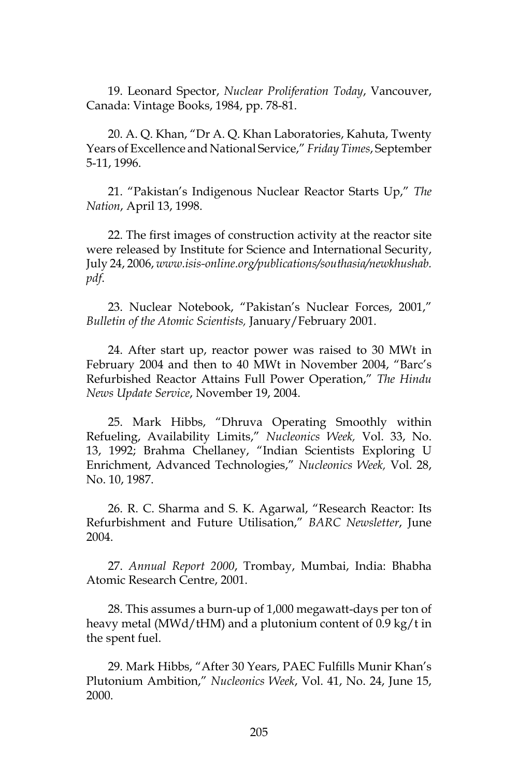19. Leonard Spector, *Nuclear Proliferation Today*, Vancouver, Canada: Vintage Books, 1984, pp. 78-81.

20. A. Q. Khan, "Dr A. Q. Khan Laboratories, Kahuta, Twenty Years of Excellence and National Service," *Friday Times*, September 5-11, 1996.

21. "Pakistan's Indigenous Nuclear Reactor Starts Up," *The Nation*, April 13, 1998.

22. The first images of construction activity at the reactor site were released by Institute for Science and International Security, July 24, 2006, *www.isis-online.org/publications/southasia/newkhushab. pdf*.

23. Nuclear Notebook, "Pakistan's Nuclear Forces, 2001," *Bulletin of the Atomic Scientists,* January/February 2001.

24. After start up, reactor power was raised to 30 MWt in February 2004 and then to 40 MWt in November 2004, "Barc's Refurbished Reactor Attains Full Power Operation," *The Hindu News Update Service*, November 19, 2004.

25. Mark Hibbs, "Dhruva Operating Smoothly within Refueling, Availability Limits," *Nucleonics Week,* Vol. 33, No. 13, 1992; Brahma Chellaney, "Indian Scientists Exploring U Enrichment, Advanced Technologies," *Nucleonics Week,* Vol. 28, No. 10, 1987.

26. R. C. Sharma and S. K. Agarwal, "Research Reactor: Its Refurbishment and Future Utilisation," *BARC Newsletter*, June 2004.

27. *Annual Report 2000*, Trombay, Mumbai, India: Bhabha Atomic Research Centre, 2001.

28. This assumes a burn-up of 1,000 megawatt-days per ton of heavy metal (MWd/tHM) and a plutonium content of 0.9 kg/t in the spent fuel.

29. Mark Hibbs, "After 30 Years, PAEC Fulfills Munir Khan's Plutonium Ambition," *Nucleonics Week*, Vol. 41, No. 24, June 15, 2000.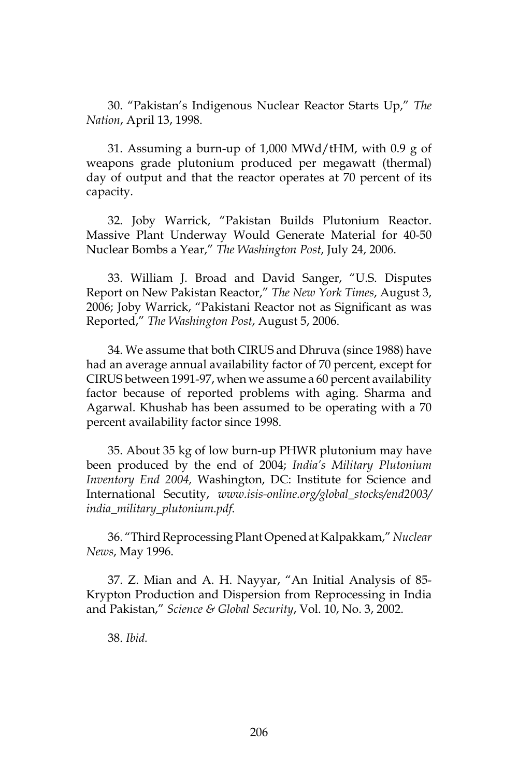30. "Pakistan's Indigenous Nuclear Reactor Starts Up," *The Nation*, April 13, 1998.

31. Assuming a burn-up of 1,000 MWd/tHM, with 0.9 g of weapons grade plutonium produced per megawatt (thermal) day of output and that the reactor operates at 70 percent of its capacity.

32. Joby Warrick, "Pakistan Builds Plutonium Reactor. Massive Plant Underway Would Generate Material for 40-50 Nuclear Bombs a Year," *The Washington Post*, July 24, 2006.

33. William J. Broad and David Sanger, "U.S. Disputes Report on New Pakistan Reactor," *The New York Times*, August 3, 2006; Joby Warrick, "Pakistani Reactor not as Significant as was Reported," *The Washington Post*, August 5, 2006.

34. We assume that both CIRUS and Dhruva (since 1988) have had an average annual availability factor of 70 percent, except for CIRUS between 1991-97, when we assume a 60 percent availability factor because of reported problems with aging. Sharma and Agarwal. Khushab has been assumed to be operating with a 70 percent availability factor since 1998.

35. About 35 kg of low burn-up PHWR plutonium may have been produced by the end of 2004; *India's Military Plutonium Inventory End 2004,* Washington, DC: Institute for Science and International Secutity, *www.isis-online.org/global\_stocks/end2003/ india\_military\_plutonium.pdf*.

36. "Third Reprocessing Plant Opened at Kalpakkam," *Nuclear News*, May 1996.

37. Z. Mian and A. H. Nayyar, "An Initial Analysis of 85- Krypton Production and Dispersion from Reprocessing in India and Pakistan," *Science & Global Security*, Vol. 10, No. 3, 2002.

38. *Ibid.*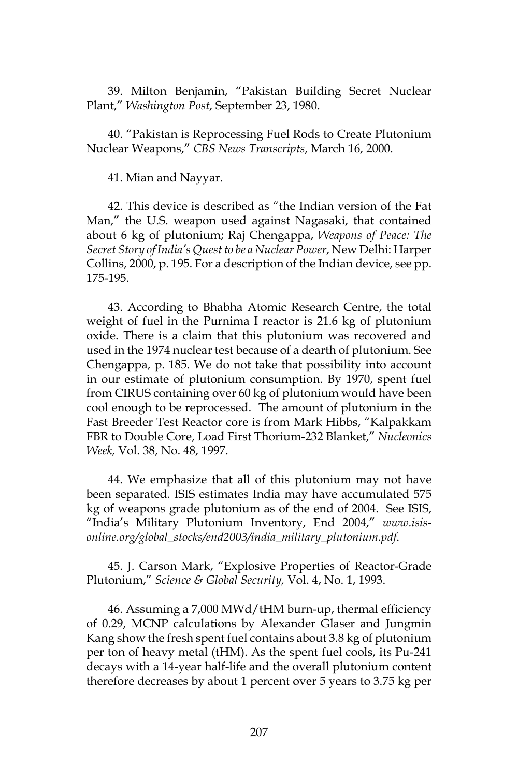39. Milton Benjamin, "Pakistan Building Secret Nuclear Plant," *Washington Post*, September 23, 1980.

40. "Pakistan is Reprocessing Fuel Rods to Create Plutonium Nuclear Weapons," *CBS News Transcripts*, March 16, 2000.

41. Mian and Nayyar.

42. This device is described as "the Indian version of the Fat Man," the U.S. weapon used against Nagasaki, that contained about 6 kg of plutonium; Raj Chengappa, *Weapons of Peace: The Secret Story of India's Quest to be a Nuclear Power*, New Delhi: Harper Collins, 2000, p. 195. For a description of the Indian device, see pp. 175-195.

43. According to Bhabha Atomic Research Centre, the total weight of fuel in the Purnima I reactor is 21.6 kg of plutonium oxide. There is a claim that this plutonium was recovered and used in the 1974 nuclear test because of a dearth of plutonium. See Chengappa, p. 185. We do not take that possibility into account in our estimate of plutonium consumption. By 1970, spent fuel from CIRUS containing over 60 kg of plutonium would have been cool enough to be reprocessed. The amount of plutonium in the Fast Breeder Test Reactor core is from Mark Hibbs, "Kalpakkam FBR to Double Core, Load First Thorium-232 Blanket," *Nucleonics Week,* Vol. 38, No. 48, 1997.

44. We emphasize that all of this plutonium may not have been separated. ISIS estimates India may have accumulated 575 kg of weapons grade plutonium as of the end of 2004. See ISIS, "India's Military Plutonium Inventory, End 2004," *www.isisonline.org/global\_stocks/end2003/india\_military\_plutonium.pdf*.

45. J. Carson Mark, "Explosive Properties of Reactor-Grade Plutonium," *Science & Global Security,* Vol. 4, No. 1, 1993.

46. Assuming a 7,000 MWd/tHM burn-up, thermal efficiency of 0.29, MCNP calculations by Alexander Glaser and Jungmin Kang show the fresh spent fuel contains about 3.8 kg of plutonium per ton of heavy metal (tHM). As the spent fuel cools, its Pu-241 decays with a 14-year half-life and the overall plutonium content therefore decreases by about 1 percent over 5 years to 3.75 kg per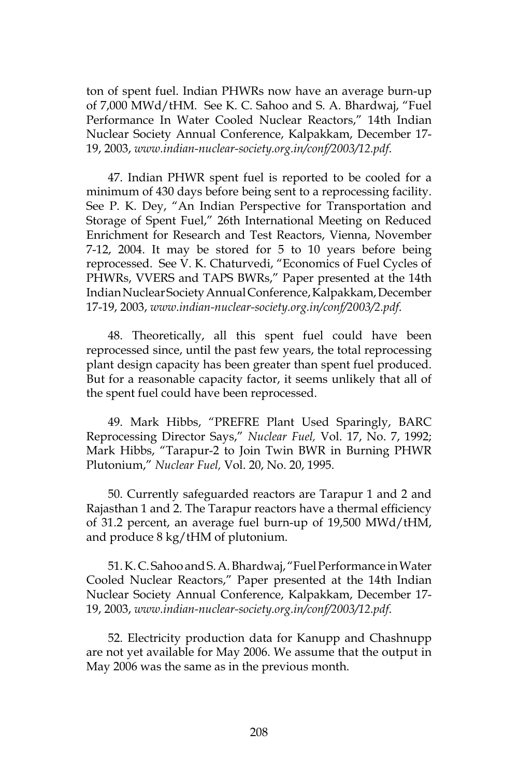ton of spent fuel. Indian PHWRs now have an average burn-up of 7,000 MWd/tHM. See K. C. Sahoo and S. A. Bhardwaj, "Fuel Performance In Water Cooled Nuclear Reactors," 14th Indian Nuclear Society Annual Conference, Kalpakkam, December 17- 19, 2003, *www.indian-nuclear-society.org.in/conf/2003/12.pdf*.

47. Indian PHWR spent fuel is reported to be cooled for a minimum of 430 days before being sent to a reprocessing facility. See P. K. Dey, "An Indian Perspective for Transportation and Storage of Spent Fuel," 26th International Meeting on Reduced Enrichment for Research and Test Reactors, Vienna, November 7-12, 2004. It may be stored for 5 to 10 years before being reprocessed. See V. K. Chaturvedi, "Economics of Fuel Cycles of PHWRs, VVERS and TAPS BWRs," Paper presented at the 14th Indian Nuclear Society Annual Conference, Kalpakkam, December 17-19, 2003, *www.indian-nuclear-society.org.in/conf/2003/2.pdf*.

48. Theoretically, all this spent fuel could have been reprocessed since, until the past few years, the total reprocessing plant design capacity has been greater than spent fuel produced. But for a reasonable capacity factor, it seems unlikely that all of the spent fuel could have been reprocessed.

49. Mark Hibbs, "PREFRE Plant Used Sparingly, BARC Reprocessing Director Says," *Nuclear Fuel,* Vol. 17, No. 7, 1992; Mark Hibbs, "Tarapur-2 to Join Twin BWR in Burning PHWR Plutonium," *Nuclear Fuel,* Vol. 20, No. 20, 1995.

50. Currently safeguarded reactors are Tarapur 1 and 2 and Rajasthan 1 and 2. The Tarapur reactors have a thermal efficiency of 31.2 percent, an average fuel burn-up of 19,500 MWd/tHM, and produce 8 kg/tHM of plutonium.

51. K. C. Sahoo and S. A. Bhardwaj, "Fuel Performance in Water Cooled Nuclear Reactors," Paper presented at the 14th Indian Nuclear Society Annual Conference, Kalpakkam, December 17- 19, 2003, *www.indian-nuclear-society.org.in/conf/2003/12.pdf*.

52. Electricity production data for Kanupp and Chashnupp are not yet available for May 2006. We assume that the output in May 2006 was the same as in the previous month.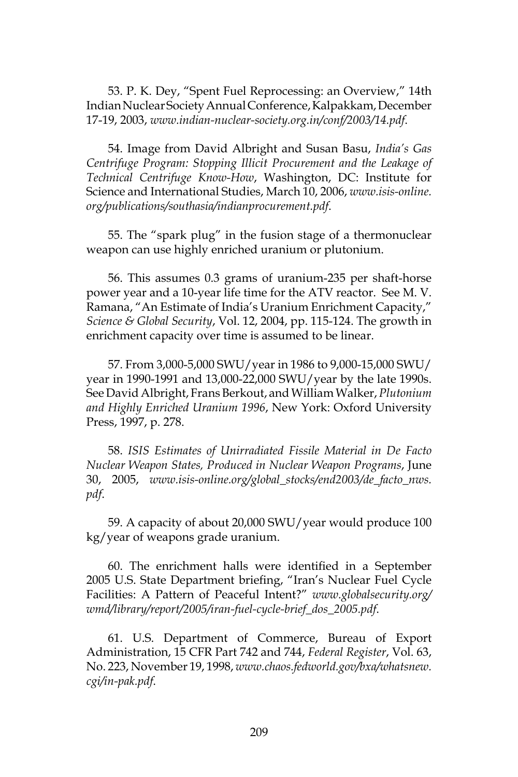53. P. K. Dey, "Spent Fuel Reprocessing: an Overview," 14th Indian Nuclear Society Annual Conference, Kalpakkam, December 17-19, 2003, *www.indian-nuclear-society.org.in/conf/2003/14.pdf*.

54. Image from David Albright and Susan Basu, *India's Gas Centrifuge Program: Stopping Illicit Procurement and the Leakage of Technical Centrifuge Know-How*, Washington, DC: Institute for Science and International Studies, March 10, 2006, *www.isis-online. org/publications/southasia/indianprocurement.pdf*.

55. The "spark plug" in the fusion stage of a thermonuclear weapon can use highly enriched uranium or plutonium.

56. This assumes 0.3 grams of uranium-235 per shaft-horse power year and a 10-year life time for the ATV reactor. See M. V. Ramana, "An Estimate of India's Uranium Enrichment Capacity," *Science & Global Security*, Vol. 12, 2004, pp. 115-124. The growth in enrichment capacity over time is assumed to be linear.

57. From 3,000-5,000 SWU/year in 1986 to 9,000-15,000 SWU/ year in 1990-1991 and 13,000-22,000 SWU/year by the late 1990s. See David Albright, Frans Berkout, and William Walker, *Plutonium and Highly Enriched Uranium 1996*, New York: Oxford University Press, 1997, p. 278.

58. *ISIS Estimates of Unirradiated Fissile Material in De Facto Nuclear Weapon States, Produced in Nuclear Weapon Programs*, June 30, 2005, *www.isis-online.org/global\_stocks/end2003/de\_facto\_nws. pdf*.

59. A capacity of about 20,000 SWU/year would produce 100 kg/year of weapons grade uranium.

60. The enrichment halls were identified in a September 2005 U.S. State Department briefing, "Iran's Nuclear Fuel Cycle Facilities: A Pattern of Peaceful Intent?" *www.globalsecurity.org/ wmd/library/report/2005/iran-fuel-cycle-brief\_dos\_2005.pdf*.

61. U.S. Department of Commerce, Bureau of Export Administration, 15 CFR Part 742 and 744, *Federal Register*, Vol. 63, No. 223, November 19, 1998, *www.chaos.fedworld.gov/bxa/whatsnew. cgi/in-pak.pdf*.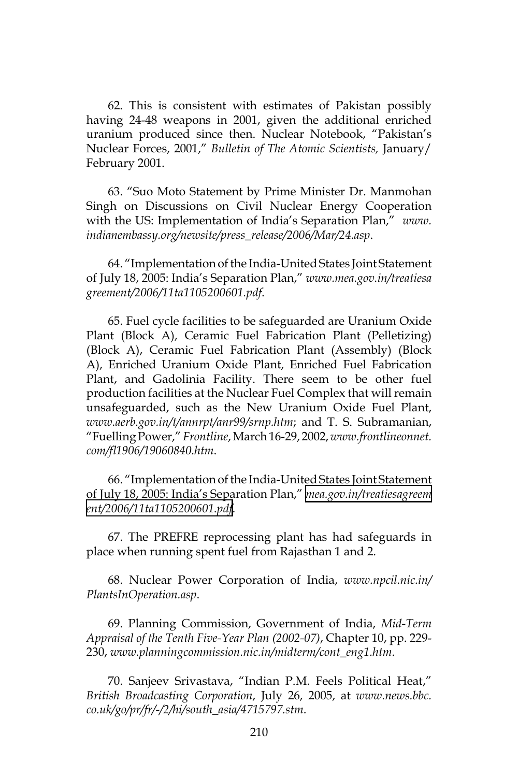62. This is consistent with estimates of Pakistan possibly having 24-48 weapons in 2001, given the additional enriched uranium produced since then. Nuclear Notebook, "Pakistan's Nuclear Forces, 2001," *Bulletin of The Atomic Scientists,* January/ February 2001.

63. "Suo Moto Statement by Prime Minister Dr. Manmohan Singh on Discussions on Civil Nuclear Energy Cooperation with the US: Implementation of India's Separation Plan," *www. indianembassy.org/newsite/press\_release/2006/Mar/24.asp*.

64. "Implementation of the India-United States Joint Statement of July 18, 2005: India's Separation Plan," *www.mea.gov.in/treatiesa greement/2006/11ta1105200601.pdf*.

65. Fuel cycle facilities to be safeguarded are Uranium Oxide Plant (Block A), Ceramic Fuel Fabrication Plant (Pelletizing) (Block A), Ceramic Fuel Fabrication Plant (Assembly) (Block A), Enriched Uranium Oxide Plant, Enriched Fuel Fabrication Plant, and Gadolinia Facility. There seem to be other fuel production facilities at the Nuclear Fuel Complex that will remain unsafeguarded, such as the New Uranium Oxide Fuel Plant, *www.aerb.gov.in/t/annrpt/anr99/srnp.htm*; and T. S. Subramanian, "Fuelling Power," *Frontline*, March 16-29, 2002, *www.frontlineonnet. com/fl1906/19060840.htm*.

66. "Implementation of the India-United States Joint Statement of July 18, 2005: India's Separation Plan," *[mea.gov.in/treatiesagreem](http://mea.gov.in/treatiesagreement/2006/11ta1105200601.pdf) [ent/2006/11ta1105200601.pdf](http://mea.gov.in/treatiesagreement/2006/11ta1105200601.pdf)*.

67. The PREFRE reprocessing plant has had safeguards in place when running spent fuel from Rajasthan 1 and 2.

68. Nuclear Power Corporation of India, *www.npcil.nic.in/ PlantsInOperation.asp*.

69. Planning Commission, Government of India, *Mid-Term Appraisal of the Tenth Five-Year Plan (2002-07)*, Chapter 10, pp. 229- 230, *www.planningcommission.nic.in/midterm/cont\_eng1.htm*.

70. Sanjeev Srivastava, "Indian P.M. Feels Political Heat," *British Broadcasting Corporation*, July 26, 2005, at *www.news.bbc. co.uk/go/pr/fr/-/2/hi/south\_asia/4715797.stm*.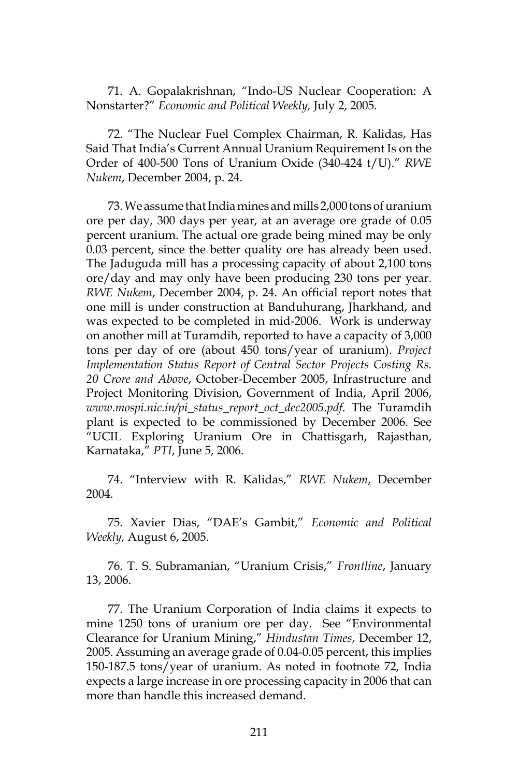71. A. Gopalakrishnan, "Indo-US Nuclear Cooperation: A Nonstarter?" *Economic and Political Weekly,* July 2, 2005.

72. "The Nuclear Fuel Complex Chairman, R. Kalidas, Has Said That India's Current Annual Uranium Requirement Is on the Order of 400-500 Tons of Uranium Oxide (340-424 t/U)." *RWE Nukem*, December 2004, p. 24.

73. We assume that India mines and mills 2,000 tons of uranium ore per day, 300 days per year, at an average ore grade of 0.05 percent uranium. The actual ore grade being mined may be only 0.03 percent, since the better quality ore has already been used. The Jaduguda mill has a processing capacity of about 2,100 tons ore/day and may only have been producing 230 tons per year. *RWE Nukem*, December 2004, p. 24. An official report notes that one mill is under construction at Banduhurang, Jharkhand, and was expected to be completed in mid-2006. Work is underway on another mill at Turamdih, reported to have a capacity of 3,000 tons per day of ore (about 450 tons/year of uranium). *Project Implementation Status Report of Central Sector Projects Costing Rs. 20 Crore and Above*, October-December 2005, Infrastructure and Project Monitoring Division, Government of India, April 2006, *www.mospi.nic.in/pi\_status\_report\_oct\_dec2005.pdf*. The Turamdih plant is expected to be commissioned by December 2006. See "UCIL Exploring Uranium Ore in Chattisgarh, Rajasthan, Karnataka," *PTI*, June 5, 2006.

74. "Interview with R. Kalidas," *RWE Nukem*, December 2004.

75. Xavier Dias, "DAE's Gambit," *Economic and Political Weekly,* August 6, 2005.

76. T. S. Subramanian, "Uranium Crisis," *Frontline*, January 13, 2006.

77. The Uranium Corporation of India claims it expects to mine 1250 tons of uranium ore per day. See "Environmental Clearance for Uranium Mining," *Hindustan Times*, December 12, 2005. Assuming an average grade of 0.04-0.05 percent, this implies 150-187.5 tons/year of uranium. As noted in footnote 72, India expects a large increase in ore processing capacity in 2006 that can more than handle this increased demand.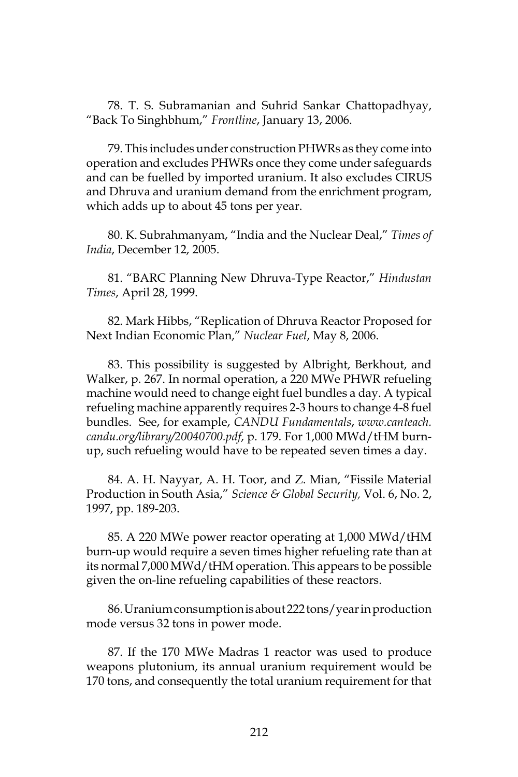78. T. S. Subramanian and Suhrid Sankar Chattopadhyay, "Back To Singhbhum," *Frontline*, January 13, 2006.

79. This includes under construction PHWRs as they come into operation and excludes PHWRs once they come under safeguards and can be fuelled by imported uranium. It also excludes CIRUS and Dhruva and uranium demand from the enrichment program, which adds up to about 45 tons per year.

80. K. Subrahmanyam, "India and the Nuclear Deal," *Times of India*, December 12, 2005.

81. "BARC Planning New Dhruva-Type Reactor," *Hindustan Times*, April 28, 1999.

82. Mark Hibbs, "Replication of Dhruva Reactor Proposed for Next Indian Economic Plan," *Nuclear Fuel*, May 8, 2006.

83. This possibility is suggested by Albright, Berkhout, and Walker, p. 267. In normal operation, a 220 MWe PHWR refueling machine would need to change eight fuel bundles a day. A typical refueling machine apparently requires 2-3 hours to change 4-8 fuel bundles. See, for example, *CANDU Fundamentals*, *www.canteach. candu.org/library/20040700.pdf*, p. 179. For 1,000 MWd/tHM burnup, such refueling would have to be repeated seven times a day.

84. A. H. Nayyar, A. H. Toor, and Z. Mian, "Fissile Material Production in South Asia," *Science & Global Security,* Vol. 6, No. 2, 1997, pp. 189-203.

85. A 220 MWe power reactor operating at 1,000 MWd/tHM burn-up would require a seven times higher refueling rate than at its normal 7,000 MWd/tHM operation. This appears to be possible given the on-line refueling capabilities of these reactors.

86. Uranium consumption is about 222 tons/year in production mode versus 32 tons in power mode.

87. If the 170 MWe Madras 1 reactor was used to produce weapons plutonium, its annual uranium requirement would be 170 tons, and consequently the total uranium requirement for that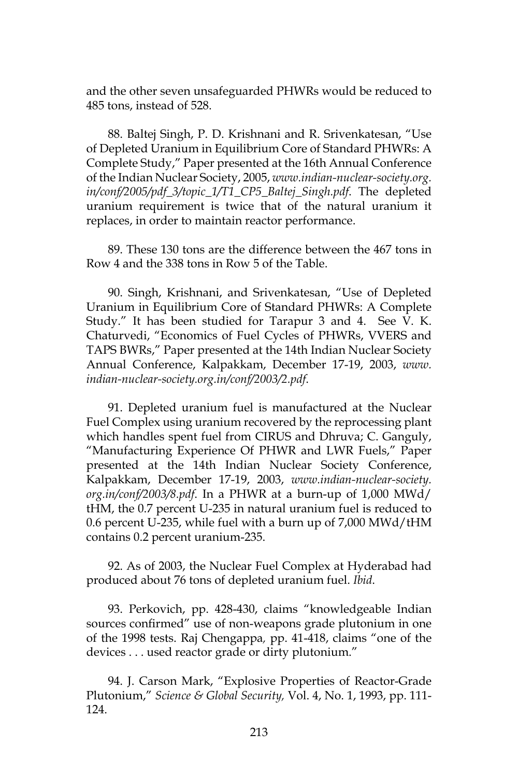and the other seven unsafeguarded PHWRs would be reduced to 485 tons, instead of 528.

88. Baltej Singh, P. D. Krishnani and R. Srivenkatesan, "Use of Depleted Uranium in Equilibrium Core of Standard PHWRs: A Complete Study," Paper presented at the 16th Annual Conference of the Indian Nuclear Society, 2005, *www.indian-nuclear-society.org. in/conf/2005/pdf\_3/topic\_1/T1\_CP5\_Baltej\_Singh.pdf*. The depleted uranium requirement is twice that of the natural uranium it replaces, in order to maintain reactor performance.

89. These 130 tons are the difference between the 467 tons in Row 4 and the 338 tons in Row 5 of the Table.

90. Singh, Krishnani, and Srivenkatesan, "Use of Depleted Uranium in Equilibrium Core of Standard PHWRs: A Complete Study." It has been studied for Tarapur 3 and 4. See V. K. Chaturvedi, "Economics of Fuel Cycles of PHWRs, VVERS and TAPS BWRs," Paper presented at the 14th Indian Nuclear Society Annual Conference, Kalpakkam, December 17-19, 2003, *www. indian-nuclear-society.org.in/conf/2003/2.pdf*.

91. Depleted uranium fuel is manufactured at the Nuclear Fuel Complex using uranium recovered by the reprocessing plant which handles spent fuel from CIRUS and Dhruva; C. Ganguly, "Manufacturing Experience Of PHWR and LWR Fuels," Paper presented at the 14th Indian Nuclear Society Conference, Kalpakkam, December 17-19, 2003, *www.indian-nuclear-society. org.in/conf/2003/8.pdf*. In a PHWR at a burn-up of 1,000 MWd/ tHM, the 0.7 percent U-235 in natural uranium fuel is reduced to 0.6 percent U-235, while fuel with a burn up of 7,000 MWd/tHM contains 0.2 percent uranium-235.

92. As of 2003, the Nuclear Fuel Complex at Hyderabad had produced about 76 tons of depleted uranium fuel. *Ibid*.

93. Perkovich, pp. 428-430, claims "knowledgeable Indian sources confirmed" use of non-weapons grade plutonium in one of the 1998 tests. Raj Chengappa*,* pp. 41-418, claims "one of the devices . . . used reactor grade or dirty plutonium."

94. J. Carson Mark, "Explosive Properties of Reactor-Grade Plutonium," *Science & Global Security,* Vol. 4, No. 1, 1993, pp. 111- 124.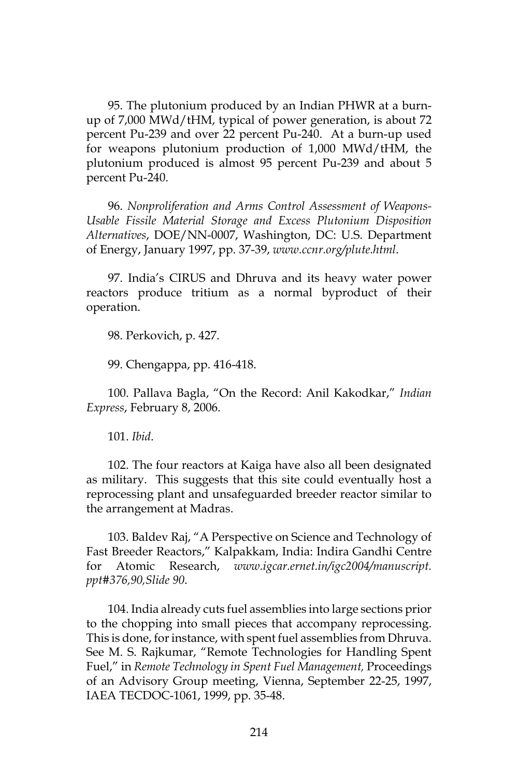95. The plutonium produced by an Indian PHWR at a burnup of 7,000 MWd/tHM, typical of power generation, is about 72 percent Pu-239 and over 22 percent Pu-240. At a burn-up used for weapons plutonium production of 1,000 MWd/tHM, the plutonium produced is almost 95 percent Pu-239 and about 5 percent Pu-240.

96. *Nonproliferation and Arms Control Assessment of Weapons-Usable Fissile Material Storage and Excess Plutonium Disposition Alternatives*, DOE/NN-0007, Washington, DC: U.S. Department of Energy, January 1997, pp. 37-39, *www.ccnr.org/plute.html*.

97. India's CIRUS and Dhruva and its heavy water power reactors produce tritium as a normal byproduct of their operation.

98. Perkovich, p. 427.

99. Chengappa, pp. 416-418.

100. Pallava Bagla, "On the Record: Anil Kakodkar," *Indian Express*, February 8, 2006.

101. *Ibid*.

102. The four reactors at Kaiga have also all been designated as military. This suggests that this site could eventually host a reprocessing plant and unsafeguarded breeder reactor similar to the arrangement at Madras.

103. Baldev Raj, "A Perspective on Science and Technology of Fast Breeder Reactors," Kalpakkam, India: Indira Gandhi Centre for Atomic Research, *www.igcar.ernet.in/igc2004/manuscript. ppt#376,90,Slide 90*.

104. India already cuts fuel assemblies into large sections prior to the chopping into small pieces that accompany reprocessing. This is done, for instance, with spent fuel assemblies from Dhruva. See M. S. Rajkumar, "Remote Technologies for Handling Spent Fuel," in *Remote Technology in Spent Fuel Management,* Proceedings of an Advisory Group meeting, Vienna, September 22-25, 1997, IAEA TECDOC-1061, 1999, pp. 35-48.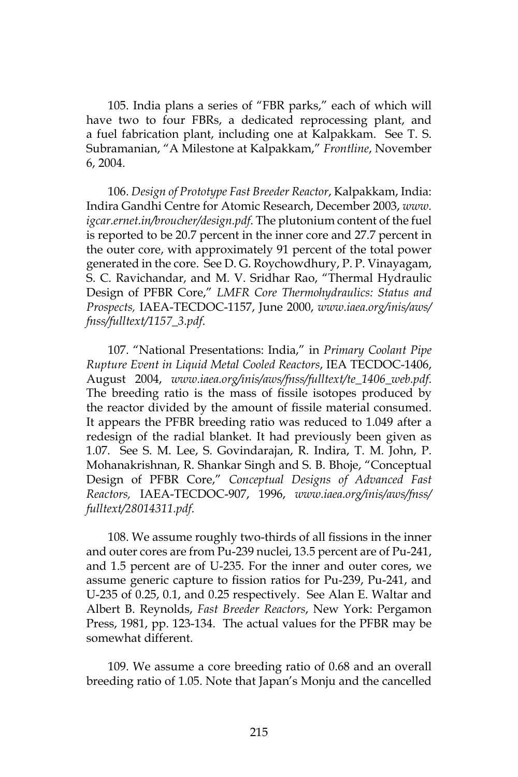105. India plans a series of "FBR parks," each of which will have two to four FBRs, a dedicated reprocessing plant, and a fuel fabrication plant, including one at Kalpakkam. See T. S. Subramanian, "A Milestone at Kalpakkam," *Frontline*, November 6, 2004.

106. *Design of Prototype Fast Breeder Reactor*, Kalpakkam, India: Indira Gandhi Centre for Atomic Research, December 2003, *www. igcar.ernet.in/broucher/design.pdf*. The plutonium content of the fuel is reported to be 20.7 percent in the inner core and 27.7 percent in the outer core, with approximately 91 percent of the total power generated in the core. See D. G. Roychowdhury, P. P. Vinayagam, S. C. Ravichandar, and M. V. Sridhar Rao, "Thermal Hydraulic Design of PFBR Core," *LMFR Core Thermohydraulics: Status and Prospects,* IAEA-TECDOC-1157, June 2000, *www.iaea.org/inis/aws/ fnss/fulltext/1157\_3.pdf*.

107. "National Presentations: India," in *Primary Coolant Pipe Rupture Event in Liquid Metal Cooled Reactors*, IEA TECDOC-1406, August 2004, *www.iaea.org/inis/aws/fnss/fulltext/te\_1406\_web.pdf*. The breeding ratio is the mass of fissile isotopes produced by the reactor divided by the amount of fissile material consumed. It appears the PFBR breeding ratio was reduced to 1.049 after a redesign of the radial blanket. It had previously been given as 1.07. See S. M. Lee, S. Govindarajan, R. Indira, T. M. John, P. Mohanakrishnan, R. Shankar Singh and S. B. Bhoje, "Conceptual Design of PFBR Core," *Conceptual Designs of Advanced Fast Reactors,* IAEA-TECDOC-907, 1996, *www.iaea.org/inis/aws/fnss/ fulltext/28014311.pdf*.

108. We assume roughly two-thirds of all fissions in the inner and outer cores are from Pu-239 nuclei, 13.5 percent are of Pu-241, and 1.5 percent are of U-235. For the inner and outer cores, we assume generic capture to fission ratios for Pu-239, Pu-241, and U-235 of 0.25, 0.1, and 0.25 respectively. See Alan E. Waltar and Albert B. Reynolds, *Fast Breeder Reactors*, New York: Pergamon Press, 1981, pp. 123-134. The actual values for the PFBR may be somewhat different.

109. We assume a core breeding ratio of 0.68 and an overall breeding ratio of 1.05. Note that Japan's Monju and the cancelled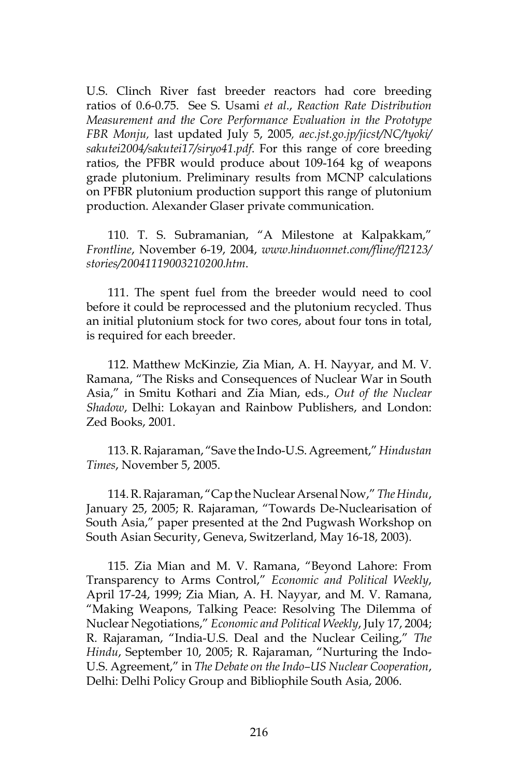U.S. Clinch River fast breeder reactors had core breeding ratios of 0.6-0.75. See S. Usami *et al*., *Reaction Rate Distribution Measurement and the Core Performance Evaluation in the Prototype FBR Monju,* last updated July 5, 2005*, aec.jst.go.jp/jicst/NC/tyoki/ sakutei2004/sakutei17/siryo41.pdf*. For this range of core breeding ratios, the PFBR would produce about 109-164 kg of weapons grade plutonium. Preliminary results from MCNP calculations on PFBR plutonium production support this range of plutonium production. Alexander Glaser private communication.

110. T. S. Subramanian, "A Milestone at Kalpakkam," *Frontline*, November 6-19, 2004, *www.hinduonnet.com/fline/fl2123/ stories/20041119003210200.htm*.

111. The spent fuel from the breeder would need to cool before it could be reprocessed and the plutonium recycled. Thus an initial plutonium stock for two cores, about four tons in total, is required for each breeder.

112. Matthew McKinzie, Zia Mian, A. H. Nayyar, and M. V. Ramana, "The Risks and Consequences of Nuclear War in South Asia," in Smitu Kothari and Zia Mian, eds., *Out of the Nuclear Shadow*, Delhi: Lokayan and Rainbow Publishers, and London: Zed Books, 2001.

113. R. Rajaraman, "Save the Indo-U.S. Agreement," *Hindustan Times*, November 5, 2005.

114. R. Rajaraman, "Cap the Nuclear Arsenal Now," *The Hindu*, January 25, 2005; R. Rajaraman, "Towards De-Nuclearisation of South Asia," paper presented at the 2nd Pugwash Workshop on South Asian Security, Geneva, Switzerland, May 16-18, 2003).

115. Zia Mian and M. V. Ramana, "Beyond Lahore: From Transparency to Arms Control," *Economic and Political Weekly*, April 17-24, 1999; Zia Mian, A. H. Nayyar, and M. V. Ramana, "Making Weapons, Talking Peace: Resolving The Dilemma of Nuclear Negotiations," *Economic and Political Weekly*, July 17, 2004; R. Rajaraman, "India-U.S. Deal and the Nuclear Ceiling," *The Hindu*, September 10, 2005; R. Rajaraman, "Nurturing the Indo-U.S. Agreement," in *The Debate on the Indo–US Nuclear Cooperation*, Delhi: Delhi Policy Group and Bibliophile South Asia, 2006.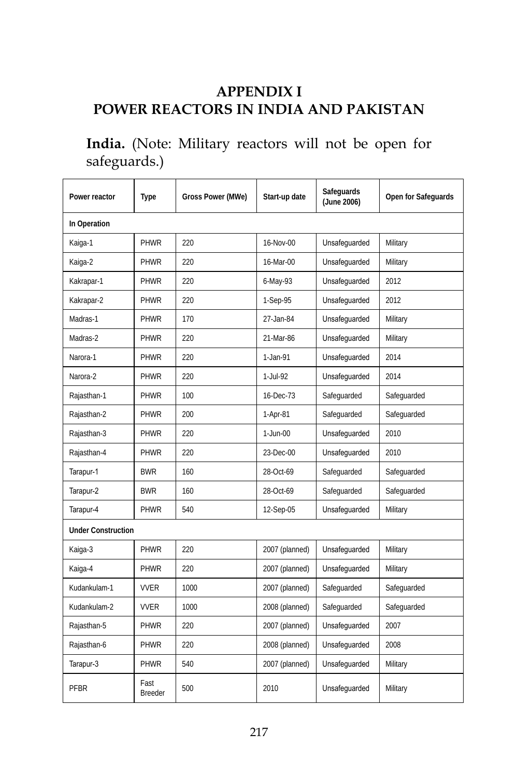## **APPENDIX I POWER REACTORS IN INDIA AND PAKISTAN**

## **India.** (Note: Military reactors will not be open for safeguards.)

| Power reactor             | Type            | Gross Power (MWe) | Start-up date  | Safeguards<br>(June 2006) | Open for Safeguards |  |
|---------------------------|-----------------|-------------------|----------------|---------------------------|---------------------|--|
| In Operation              |                 |                   |                |                           |                     |  |
| Kaiga-1                   | PHWR            | 220               | 16-Nov-00      | Unsafequarded             | Military            |  |
| Kaiga-2                   | PHWR            | 220               | 16-Mar-00      | Unsafequarded             | Military            |  |
| Kakrapar-1                | PHWR            | 220               | 6-May-93       | Unsafequarded             | 2012                |  |
| Kakrapar-2                | PHWR            | 220               | 1-Sep-95       | Unsafeguarded             | 2012                |  |
| Madras-1                  | PHWR            | 170               | 27-Jan-84      | Unsafeguarded             | Military            |  |
| Madras-2                  | PHWR            | 220               | 21-Mar-86      | Unsafeguarded             | Military            |  |
| Narora-1                  | PHWR            | 220               | $1 - Jan-91$   | Unsafequarded             | 2014                |  |
| Narora-2                  | PHWR            | 220               | 1-Jul-92       | Unsafequarded             | 2014                |  |
| Rajasthan-1               | PHWR            | 100               | 16-Dec-73      | Safeguarded               | Safeguarded         |  |
| Rajasthan-2               | PHWR            | 200               | 1-Apr-81       | Safeguarded               | Safeguarded         |  |
| Rajasthan-3               | PHWR            | 220               | $1-Jun-00$     | Unsafeguarded             | 2010                |  |
| Rajasthan-4               | PHWR            | 220               | 23-Dec-00      | Unsafeguarded             | 2010                |  |
| Tarapur-1                 | <b>BWR</b>      | 160               | 28-Oct-69      | Safequarded               | Safeguarded         |  |
| Tarapur-2                 | <b>BWR</b>      | 160               | 28-Oct-69      | Safeguarded               | Safeguarded         |  |
| Tarapur-4                 | PHWR            | 540               | 12-Sep-05      | Unsafeguarded             | Military            |  |
| <b>Under Construction</b> |                 |                   |                |                           |                     |  |
| Kaiga-3                   | PHWR            | 220               | 2007 (planned) | Unsafeguarded             | Military            |  |
| Kaiga-4                   | PHWR            | 220               | 2007 (planned) | Unsafeguarded             | Military            |  |
| Kudankulam-1              | <b>VVFR</b>     | 1000              | 2007 (planned) | Safeguarded               | Safequarded         |  |
| Kudankulam-2              | <b>VVFR</b>     | 1000              | 2008 (planned) | Safeguarded               | Safeguarded         |  |
| Rajasthan-5               | PHWR            | 220               | 2007 (planned) | Unsafeguarded             | 2007                |  |
| Rajasthan-6               | PHWR            | 220               | 2008 (planned) | Unsafeguarded             | 2008                |  |
| Tarapur-3                 | PHWR            | 540               | 2007 (planned) | Unsafeguarded             | Military            |  |
| PFBR                      | Fast<br>Breeder | 500               | 2010           | Unsafequarded             | Military            |  |